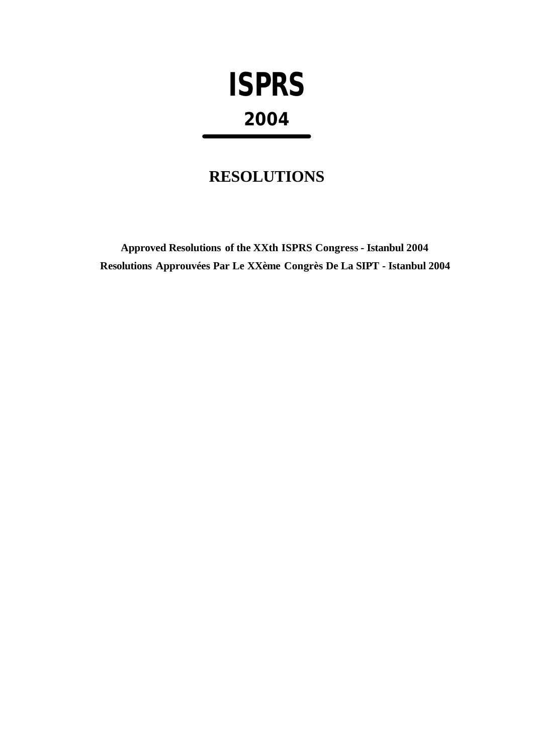# **ISPRS 2004**

## **RESOLUTIONS**

**Approved Resolutions of the XXth ISPRS Congress - Istanbul 2004 Resolutions Approuvées Par Le XXème Congrès De La SIPT - Istanbul 2004**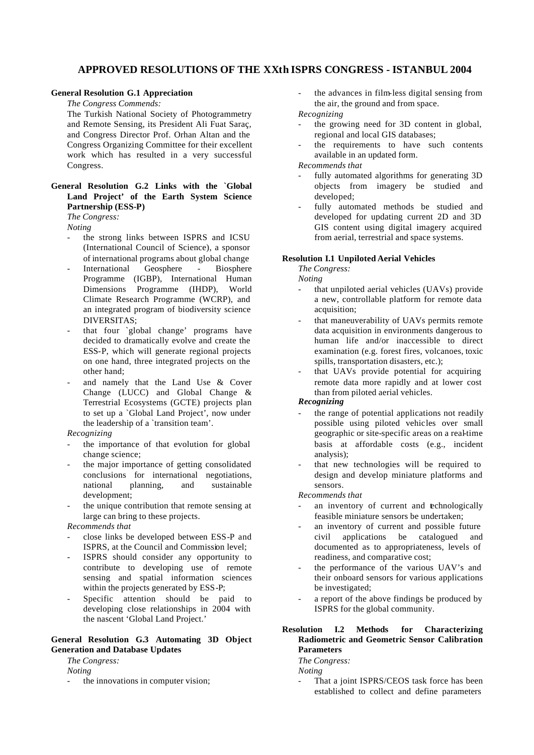#### **APPROVED RESOLUTIONS OF THE XXth ISPRS CONGRESS - ISTANBUL 2004**

#### **General Resolution G.1 Appreciation**

*The Congress Commends:*

The Turkish National Society of Photogrammetry and Remote Sensing, its President Ali Fuat Saraç, and Congress Director Prof. Orhan Altan and the Congress Organizing Committee for their excellent work which has resulted in a very successful Congress.

#### **General Resolution G.2 Links with the `Global Land Project' of the Earth System Science Partnership (ESS-P)**  *The Congress:*

*Noting*

- the strong links between ISPRS and ICSU (International Council of Science), a sponsor of international programs about global change
- International Geosphere Biosphere Programme (IGBP), International Human Dimensions Programme (IHDP), World Climate Research Programme (WCRP), and an integrated program of biodiversity science DIVERSITAS;
- that four `global change' programs have decided to dramatically evolve and create the ESS-P, which will generate regional projects on one hand, three integrated projects on the other hand;
- and namely that the Land Use & Cover Change (LUCC) and Global Change & Terrestrial Ecosystems (GCTE) projects plan to set up a `Global Land Project', now under the leadership of a `transition team'.

#### *Recognizing*

- the importance of that evolution for global change science;
- the major importance of getting consolidated conclusions for international negotiations, national planning, and sustainable development;
- the unique contribution that remote sensing at large can bring to these projects.

*Recommends that*

- close links be developed between ESS-P and ISPRS, at the Council and Commission level;
- ISPRS should consider any opportunity to contribute to developing use of remote sensing and spatial information sciences within the projects generated by ESS-P;
- Specific attention should be paid to developing close relationships in 2004 with the nascent 'Global Land Project.'

#### **General Resolution G.3 Automating 3D Object Generation and Database Updates**

*The Congress:*

- *Noting*
- the innovations in computer vision;
- the advances in film-less digital sensing from the air, the ground and from space. *Recognizing*
- the growing need for 3D content in global, regional and local GIS databases;
- the requirements to have such contents available in an updated form.

*Recommends that*

- fully automated algorithms for generating 3D objects from imagery be studied and developed;
- fully automated methods be studied and developed for updating current 2D and 3D GIS content using digital imagery acquired from aerial, terrestrial and space systems.

#### **Resolution I.1 Unpiloted Aerial Vehicles**

*The Congress:*

*Noting*

- that unpiloted aerial vehicles (UAVs) provide a new, controllable platform for remote data acquisition;
- that maneuverability of UAVs permits remote data acquisition in environments dangerous to human life and/or inaccessible to direct examination (e.g. forest fires, volcanoes, toxic spills, transportation disasters, etc.);
- that UAVs provide potential for acquiring remote data more rapidly and at lower cost than from piloted aerial vehicles.

#### *Recognizing*

- the range of potential applications not readily possible using piloted vehicles over small geographic or site-specific areas on a real-time basis at affordable costs (e.g., incident analysis);
- that new technologies will be required to design and develop miniature platforms and sensors.

*Recommends that*

- an inventory of current and technologically feasible miniature sensors be undertaken;
- an inventory of current and possible future civil applications be catalogued and documented as to appropriateness, levels of readiness, and comparative cost;
- the performance of the various UAV's and their onboard sensors for various applications be investigated;
- a report of the above findings be produced by ISPRS for the global community.

#### **Resolution I.2 Methods for Characterizing Radiometric and Geometric Sensor Calibration Parameters**

*The Congress: Noting*

That a joint ISPRS/CEOS task force has been established to collect and define parameters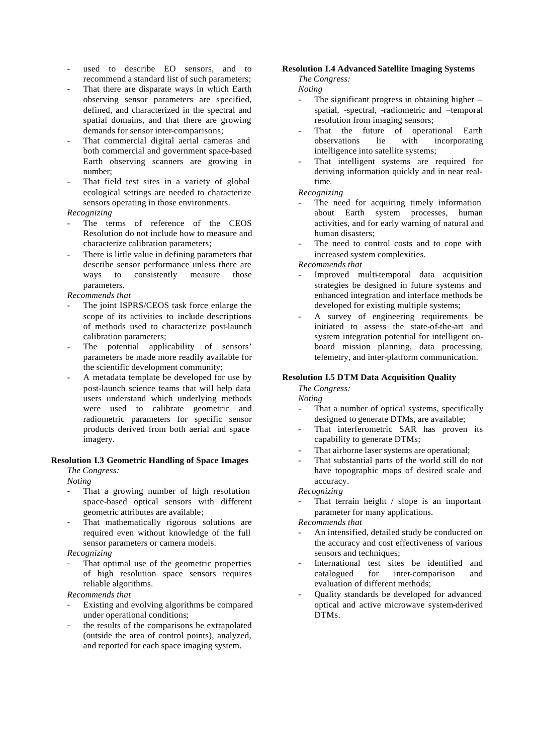- used to describe EO sensors, and to recommend a standard list of such parameters;
- That there are disparate ways in which Earth observing sensor parameters are specified, defined, and characterized in the spectral and spatial domains, and that there are growing demands for sensor inter-comparisons;
- That commercial digital aerial cameras and both commercial and government space-based Earth observing scanners are growing in number;
- That field test sites in a variety of global ecological settings are needed to characterize sensors operating in those environments.

#### *Recognizing*

- The terms of reference of the CEOS Resolution do not include how to measure and characterize calibration parameters;
- There is little value in defining parameters that describe sensor performance unless there are ways to consistently measure those parameters.

*Recommends that*

- The joint ISPRS/CEOS task force enlarge the scope of its activities to include descriptions of methods used to characterize post-launch calibration parameters;
- The potential applicability of sensors' parameters be made more readily available for the scientific development community;
- A metadata template be developed for use by post-launch science teams that will help data users understand which underlying methods were used to calibrate geometric and radiometric parameters for specific sensor products derived from both aerial and space imagery.

#### **Resolution I.3 Geometric Handling of Space Images**

*The Congress:*

*Noting*

- That a growing number of high resolution space-based optical sensors with different geometric attributes are available;
- That mathematically rigorous solutions are required even without knowledge of the full sensor parameters or camera models.

#### *Recognizing*

That optimal use of the geometric properties of high resolution space sensors requires reliable algorithms.

*Recommends that*

- Existing and evolving algorithms be compared under operational conditions;
- the results of the comparisons be extrapolated (outside the area of control points), analyzed, and reported for each space imaging system.

#### **Resolution I.4 Advanced Satellite Imaging Systems**

*The Congress:*

*Noting*

- The significant progress in obtaining higher  $$ spatial, -spectral, -radiometric and –temporal resolution from imaging sensors;
- That the future of operational Earth observations lie with incorporating intelligence into satellite systems;
- That intelligent systems are required for deriving information quickly and in near realtime.

#### *Recognizing*

- The need for acquiring timely information about Earth system processes, human activities, and for early warning of natural and human disasters;
- The need to control costs and to cope with increased system complexities.

*Recommends that*

- Improved multi-temporal data acquisition strategies be designed in future systems and enhanced integration and interface methods be developed for existing multiple systems;
- A survey of engineering requirements be initiated to assess the state-of-the-art and system integration potential for intelligent onboard mission planning, data processing, telemetry, and inter-platform communication.

#### **Resolution I.5 DTM Data Acquisition Quality**

*The Congress: Noting*

- That a number of optical systems, specifically designed to generate DTMs, are available;
- That interferometric SAR has proven its capability to generate DTMs;
- That airborne laser systems are operational;
- That substantial parts of the world still do not have topographic maps of desired scale and accuracy.

*Recognizing*

That terrain height  $\ell$  slope is an important parameter for many applications.

- An intensified, detailed study be conducted on the accuracy and cost effectiveness of various sensors and techniques;
- International test sites be identified and catalogued for inter-comparison and evaluation of different methods;
- Quality standards be developed for advanced optical and active microwave system-derived DTMs.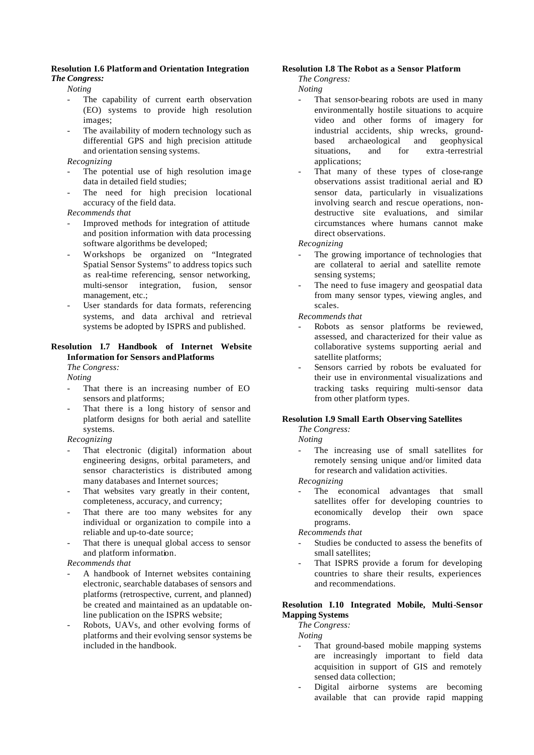#### **Resolution I.6 Platform and Orientation Integration** *The Congress:*

*Noting*

- The capability of current earth observation (EO) systems to provide high resolution images;
- The availability of modern technology such as differential GPS and high precision attitude and orientation sensing systems.

#### *Recognizing*

- The potential use of high resolution image data in detailed field studies;
- The need for high precision locational accuracy of the field data.

*Recommends that*

- Improved methods for integration of attitude and position information with data processing software algorithms be developed;
- Workshops be organized on "Integrated Spatial Sensor Systems" to address topics such as real-time referencing, sensor networking, multi-sensor integration, fusion, sensor management, etc.;
- User standards for data formats, referencing systems, and data archival and retrieval systems be adopted by ISPRS and published.

#### **Resolution I.7 Handbook of Internet Website Information for Sensors and Platforms**

*The Congress:*

*Noting*

- That there is an increasing number of EO sensors and platforms;
- That there is a long history of sensor and platform designs for both aerial and satellite systems.

*Recognizing*

- That electronic (digital) information about engineering designs, orbital parameters, and sensor characteristics is distributed among many databases and Internet sources;
- That websites vary greatly in their content, completeness, accuracy, and currency;
- That there are too many websites for any individual or organization to compile into a reliable and up-to-date source;
- That there is unequal global access to sensor and platform information.

#### *Recommends that*

- A handbook of Internet websites containing electronic, searchable databases of sensors and platforms (retrospective, current, and planned) be created and maintained as an updatable online publication on the ISPRS website;
- Robots, UAVs, and other evolving forms of platforms and their evolving sensor systems be included in the handbook.

#### **Resolution I.8 The Robot as a Sensor Platform**

*The Congress:*

*Noting*

- That sensor-bearing robots are used in many environmentally hostile situations to acquire video and other forms of imagery for industrial accidents, ship wrecks, groundbased archaeological and geophysical situations, and for extra-terrestrial applications;
- That many of these types of close-range observations assist traditional aerial and EO sensor data, particularly in visualizations involving search and rescue operations, nondestructive site evaluations, and similar circumstances where humans cannot make direct observations.

*Recognizing*

- The growing importance of technologies that are collateral to aerial and satellite remote sensing systems;
- The need to fuse imagery and geospatial data from many sensor types, viewing angles, and scales.

*Recommends that*

- Robots as sensor platforms be reviewed, assessed, and characterized for their value as collaborative systems supporting aerial and satellite platforms;
- Sensors carried by robots be evaluated for their use in environmental visualizations and tracking tasks requiring multi-sensor data from other platform types.

#### **Resolution I.9 Small Earth Observing Satellites**

*The Congress:*

*Noting*

The increasing use of small satellites for remotely sensing unique and/or limited data for research and validation activities.

*Recognizing*

The economical advantages that small satellites offer for developing countries to economically develop their own space programs.

*Recommends that*

- Studies be conducted to assess the benefits of small satellites;
- That ISPRS provide a forum for developing countries to share their results, experiences and recommendations.

#### **Resolution I.10 Integrated Mobile, Multi-Sensor Mapping Systems**

*The Congress:*

*Noting*

- That ground-based mobile mapping systems are increasingly important to field data acquisition in support of GIS and remotely sensed data collection;
- Digital airborne systems are becoming available that can provide rapid mapping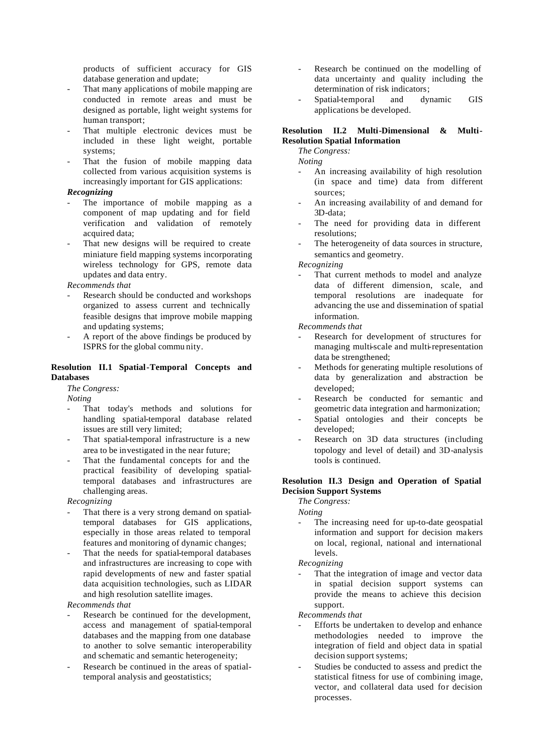products of sufficient accuracy for GIS database generation and update;

- That many applications of mobile mapping are conducted in remote areas and must be designed as portable, light weight systems for human transport;
- That multiple electronic devices must be included in these light weight, portable systems;
- That the fusion of mobile mapping data collected from various acquisition systems is increasingly important for GIS applications:

#### *Recognizing*

- The importance of mobile mapping as a component of map updating and for field verification and validation of remotely acquired data:
- That new designs will be required to create miniature field mapping systems incorporating wireless technology for GPS, remote data updates and data entry.

#### *Recommends that*

- Research should be conducted and workshops organized to assess current and technically feasible designs that improve mobile mapping and updating systems;
- A report of the above findings be produced by ISPRS for the global commu nity.

#### **Resolution II.1 Spatial-Temporal Concepts and Databases**

*The Congress:*

*Noting*

- That today's methods and solutions for handling spatial-temporal database related issues are still very limited;
- That spatial-temporal infrastructure is a new area to be investigated in the near future;
- That the fundamental concepts for and the practical feasibility of developing spatialtemporal databases and infrastructures are challenging areas.

*Recognizing*

- That there is a very strong demand on spatialtemporal databases for GIS applications, especially in those areas related to temporal features and monitoring of dynamic changes;
- That the needs for spatial-temporal databases and infrastructures are increasing to cope with rapid developments of new and faster spatial data acquisition technologies, such as LIDAR and high resolution satellite images.

#### *Recommends that*

- Research be continued for the development, access and management of spatial-temporal databases and the mapping from one database to another to solve semantic interoperability and schematic and semantic heterogeneity;
- Research be continued in the areas of spatialtemporal analysis and geostatistics;
- Research be continued on the modelling of data uncertainty and quality including the determination of risk indicators;
- Spatial-temporal and dynamic GIS applications be developed.

#### **Resolution II.2 Multi-Dimensional & Multi-Resolution Spatial Information**

*The Congress:*

*Noting*

- An increasing availability of high resolution (in space and time) data from different sources;
- An increasing availability of and demand for 3D-data;
- The need for providing data in different resolutions;
- The heterogeneity of data sources in structure, semantics and geometry.

*Recognizing*

That current methods to model and analyze data of different dimension, scale, and temporal resolutions are inadequate for advancing the use and dissemination of spatial information.

*Recommends that*

- Research for development of structures for managing multi-scale and multi-representation data be strengthened;
- Methods for generating multiple resolutions of data by generalization and abstraction be developed;
- Research be conducted for semantic and geometric data integration and harmonization;
- Spatial ontologies and their concepts be developed;
- Research on 3D data structures (including topology and level of detail) and 3D-analysis tools is continued.

#### **Resolution II.3 Design and Operation of Spatial Decision Support Systems**

*The Congress:*

*Noting*

The increasing need for up-to-date geospatial information and support for decision makers on local, regional, national and international levels.

*Recognizing*

That the integration of image and vector data in spatial decision support systems can provide the means to achieve this decision support.

- Efforts be undertaken to develop and enhance methodologies needed to improve the integration of field and object data in spatial decision support systems;
- Studies be conducted to assess and predict the statistical fitness for use of combining image, vector, and collateral data used for decision processes.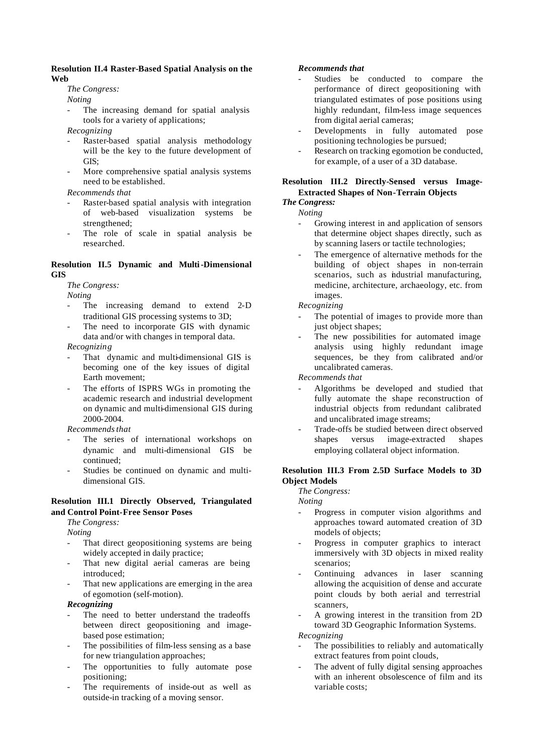#### **Resolution II.4 Raster-Based Spatial Analysis on the Web**

#### *The Congress:*

*Noting*

The increasing demand for spatial analysis tools for a variety of applications;

*Recognizing*

- Raster-based spatial analysis methodology will be the key to the future development of GIS;
- More comprehensive spatial analysis systems need to be established.

*Recommends that*

- Raster-based spatial analysis with integration of web-based visualization systems be strengthened;
- The role of scale in spatial analysis be researched.

#### **Resolution II.5 Dynamic and Multi-Dimensional GIS**

*The Congress:*

*Noting*

- The increasing demand to extend 2-D traditional GIS processing systems to 3D;
- The need to incorporate GIS with dynamic data and/or with changes in temporal data.

*Recognizing*

- That dynamic and multi-dimensional GIS is becoming one of the key issues of digital Earth movement;
- The efforts of ISPRS WGs in promoting the academic research and industrial development on dynamic and multi-dimensional GIS during 2000-2004.

*Recommends that*

- The series of international workshops on dynamic and multi-dimensional GIS be continued;
- Studies be continued on dynamic and multidimensional GIS.

#### **Resolution III.1 Directly Observed, Triangulated and Control Point-Free Sensor Poses**

*The Congress:*

*Noting*

- That direct geopositioning systems are being widely accepted in daily practice;
- That new digital aerial cameras are being introduced;
- That new applications are emerging in the area of egomotion (self-motion).

*Recognizing*

- The need to better understand the tradeoffs between direct geopositioning and imagebased pose estimation;
- The possibilities of film-less sensing as a base for new triangulation approaches;
- The opportunities to fully automate pose positioning;
- The requirements of inside-out as well as outside-in tracking of a moving sensor.

#### *Recommends that*

- Studies be conducted to compare the performance of direct geopositioning with triangulated estimates of pose positions using highly redundant, film-less image sequences from digital aerial cameras;
- Developments in fully automated pose positioning technologies be pursued;
- Research on tracking egomotion be conducted, for example, of a user of a 3D database.

#### **Resolution III.2 Directly-Sensed versus Image-Extracted Shapes of Non-Terrain Objects**

## *The Congress:*

*Noting*

- Growing interest in and application of sensors that determine object shapes directly, such as by scanning lasers or tactile technologies;
- The emergence of alternative methods for the building of object shapes in non-terrain scenarios, such as industrial manufacturing, medicine, architecture, archaeology, etc. from images.

*Recognizing*

- The potential of images to provide more than just object shapes;
- The new possibilities for automated image analysis using highly redundant image sequences, be they from calibrated and/or uncalibrated cameras.

*Recommends that*

- Algorithms be developed and studied that fully automate the shape reconstruction of industrial objects from redundant calibrated and uncalibrated image streams;
- Trade-offs be studied between direct observed shapes versus image-extracted shapes employing collateral object information.

#### **Resolution III.3 From 2.5D Surface Models to 3D Object Models**

*The Congress:*

*Noting*

- Progress in computer vision algorithms and approaches toward automated creation of 3D models of objects;
- Progress in computer graphics to interact immersively with 3D objects in mixed reality scenarios;
- Continuing advances in laser scanning allowing the acquisition of dense and accurate point clouds by both aerial and terrestrial scanners,
- A growing interest in the transition from 2D toward 3D Geographic Information Systems.

*Recognizing*

- The possibilities to reliably and automatically extract features from point clouds,
- The advent of fully digital sensing approaches with an inherent obsolescence of film and its variable costs;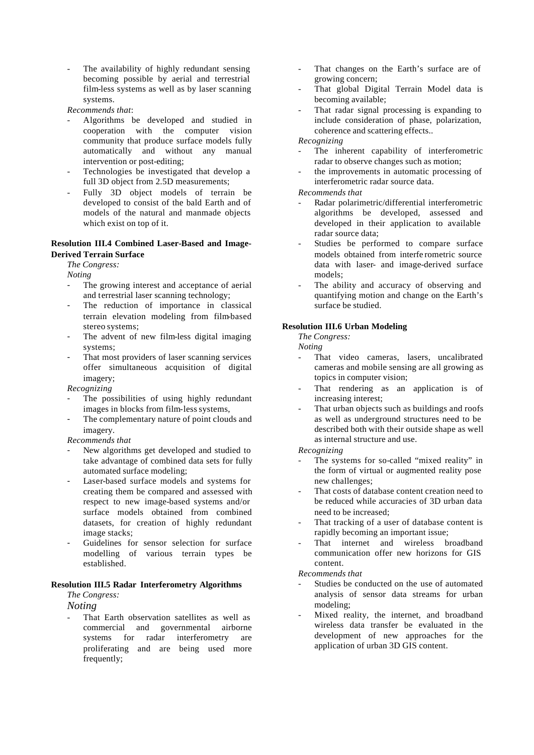The availability of highly redundant sensing becoming possible by aerial and terrestrial film-less systems as well as by laser scanning systems.

*Recommends that*:

- Algorithms be developed and studied in cooperation with the computer vision community that produce surface models fully automatically and without any manual intervention or post-editing;
- Technologies be investigated that develop a full 3D object from 2.5D measurements;
- Fully 3D object models of terrain be developed to consist of the bald Earth and of models of the natural and manmade objects which exist on top of it.

#### **Resolution III.4 Combined Laser-Based and Image-Derived Terrain Surface**

#### *The Congress:*

*Noting*

- The growing interest and acceptance of aerial and terrestrial laser scanning technology;
- The reduction of importance in classical terrain elevation modeling from film-based stereo systems;
- The advent of new film-less digital imaging systems;
- That most providers of laser scanning services offer simultaneous acquisition of digital imagery;

*Recognizing*

- The possibilities of using highly redundant images in blocks from film-less systems,
- The complementary nature of point clouds and imagery.

*Recommends that*

- New algorithms get developed and studied to take advantage of combined data sets for fully automated surface modeling;
- Laser-based surface models and systems for creating them be compared and assessed with respect to new image-based systems and/or surface models obtained from combined datasets, for creation of highly redundant image stacks;
- Guidelines for sensor selection for surface modelling of various terrain types be established.

#### **Resolution III.5 Radar Interferometry Algorithms** *The Congress:*

*Noting*

That Earth observation satellites as well as commercial and governmental airborne systems for radar interferometry are proliferating and are being used more frequently;

- That changes on the Earth's surface are of growing concern;
- That global Digital Terrain Model data is becoming available;
- That radar signal processing is expanding to include consideration of phase, polarization, coherence and scattering effects..

*Recognizing*

- The inherent capability of interferometric radar to observe changes such as motion;
- the improvements in automatic processing of interferometric radar source data.

*Recommends that*

- Radar polarimetric/differential interferometric algorithms be developed, assessed and developed in their application to available radar source data;
- Studies be performed to compare surface models obtained from interfe rometric source data with laser- and image-derived surface models;
- The ability and accuracy of observing and quantifying motion and change on the Earth's surface be studied.

#### **Resolution III.6 Urban Modeling**

*The Congress:*

*Noting*

- That video cameras, lasers, uncalibrated cameras and mobile sensing are all growing as topics in computer vision;
- That rendering as an application is of increasing interest;
- That urban objects such as buildings and roofs as well as underground structures need to be described both with their outside shape as well as internal structure and use.

*Recognizing*

- The systems for so-called "mixed reality" in the form of virtual or augmented reality pose new challenges;
- That costs of database content creation need to be reduced while accuracies of 3D urban data need to be increased;
- That tracking of a user of database content is rapidly becoming an important issue;
- That internet and wireless broadband communication offer new horizons for GIS content.

- Studies be conducted on the use of automated analysis of sensor data streams for urban modeling;
- Mixed reality, the internet, and broadband wireless data transfer be evaluated in the development of new approaches for the application of urban 3D GIS content.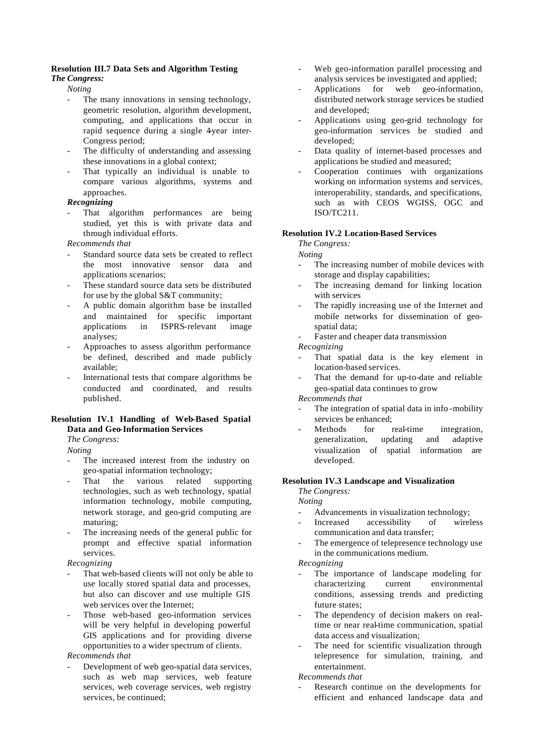#### **Resolution III.7 Data Sets and Algorithm Testing**

### *The Congress:*

*Noting*

- The many innovations in sensing technology, geometric resolution, algorithm development, computing, and applications that occur in rapid sequence during a single 4year inter-Congress period;
- The difficulty of understanding and assessing these innovations in a global context;
- That typically an individual is unable to compare various algorithms, systems and approaches.

#### *Recognizing*

That algorithm performances are being studied, yet this is with private data and through individual efforts.

*Recommends that*

- Standard source data sets be created to reflect the most innovative sensor data and applications scenarios;
- These standard source data sets be distributed for use by the global S&T community;
- A public domain algorithm base be installed and maintained for specific important applications in ISPRS-relevant image analyses;
- Approaches to assess algorithm performance be defined, described and made publicly available;
- International tests that compare algorithms be conducted and coordinated, and results published.

#### **Resolution IV.1 Handling of Web-Based Spatial Data and Geo-Information Services**

*The Congress:*

*Noting*

- The increased interest from the industry on geo-spatial information technology;
- That the various related supporting technologies, such as web technology, spatial information technology, mobile computing, network storage, and geo-grid computing are maturing;
- The increasing needs of the general public for prompt and effective spatial information services.

*Recognizing*

- That web-based clients will not only be able to use locally stored spatial data and processes, but also can discover and use multiple GIS web services over the Internet;
- Those web-based geo-information services will be very helpful in developing powerful GIS applications and for providing diverse opportunities to a wider spectrum of clients.

#### *Recommends that*

Development of web geo-spatial data services, such as web map services, web feature services, web coverage services, web registry services, be continued;

- Web geo-information parallel processing and analysis services be investigated and applied;
- Applications for web geo-information, distributed network storage services be studied and developed;
- Applications using geo-grid technology for geo-information services be studied and developed;
- Data quality of internet-based processes and applications be studied and measured;
- Cooperation continues with organizations working on information systems and services, interoperability, standards, and specifications, such as with CEOS WGISS, OGC and ISO/TC211.

#### **Resolution IV.2 Location-Based Services**

*The Congress:*

*Noting*

- The increasing number of mobile devices with storage and display capabilities;
- The increasing demand for linking location with services
- The rapidly increasing use of the Internet and mobile networks for dissemination of geospatial data;

Faster and cheaper data transmission

*Recognizing*

- That spatial data is the key element in location-based services.
- That the demand for up-to-date and reliable geo-spatial data continues to grow

*Recommends that*

- The integration of spatial data in info-mobility services be enhanced;
- Methods for real-time integration, generalization, updating and adaptive visualization of spatial information are developed.

#### **Resolution IV.3 Landscape and Visualization**

*The Congress:*

*Noting*

- Advancements in visualization technology;
- Increased accessibility of wireless communication and data transfer;
- The emergence of telepresence technology use in the communications medium.

*Recognizing*

- The importance of landscape modeling for characterizing current environmental conditions, assessing trends and predicting future states;
- The dependency of decision makers on realtime or near real-time communication, spatial data access and visualization;
- The need for scientific visualization through telepresence for simulation, training, and entertainment.

*Recommends that*

Research continue on the developments for efficient and enhanced landscape data and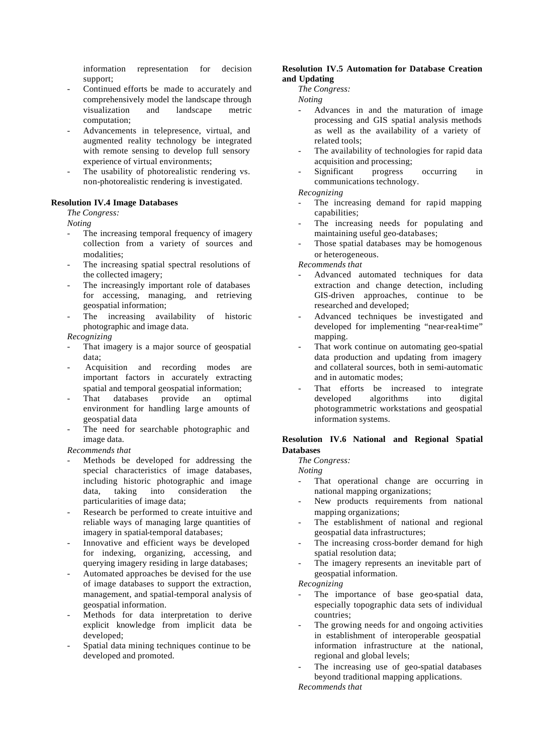information representation for decision support;

- Continued efforts be made to accurately and comprehensively model the landscape through visualization and landscape metric computation;
- Advancements in telepresence, virtual, and augmented reality technology be integrated with remote sensing to develop full sensory experience of virtual environments;
- The usability of photorealistic rendering vs. non-photorealistic rendering is investigated.

#### **Resolution IV.4 Image Databases**

*The Congress:*

*Noting*

- The increasing temporal frequency of imagery collection from a variety of sources and modalities;
- The increasing spatial spectral resolutions of the collected imagery;
- The increasingly important role of databases for accessing, managing, and retrieving geospatial information;
- The increasing availability of historic photographic and image data.

#### *Recognizing*

- That imagery is a major source of geospatial data;
- Acquisition and recording modes are important factors in accurately extracting spatial and temporal geospatial information;
- That databases provide an optimal environment for handling large amounts of geospatial data
- The need for searchable photographic and image data.

#### *Recommends that*

- Methods be developed for addressing the special characteristics of image databases, including historic photographic and image data, taking into consideration the particularities of image data;
- Research be performed to create intuitive and reliable ways of managing large quantities of imagery in spatial-temporal databases;
- Innovative and efficient ways be developed for indexing, organizing, accessing, and querying imagery residing in large databases;
- Automated approaches be devised for the use of image databases to support the extraction, management, and spatial-temporal analysis of geospatial information.
- Methods for data interpretation to derive explicit knowledge from implicit data be developed;
- Spatial data mining techniques continue to be developed and promoted.

#### **Resolution IV.5 Automation for Database Creation and Updating**

*The Congress:*

*Noting*

- Advances in and the maturation of image processing and GIS spatial analysis methods as well as the availability of a variety of related tools;
- The availability of technologies for rapid data acquisition and processing;
- Significant progress occurring in communications technology.

*Recognizing*

- The increasing demand for rapid mapping capabilities;
- The increasing needs for populating and maintaining useful geo-databases;
- Those spatial databases may be homogenous or heterogeneous.

*Recommends that*

- Advanced automated techniques for data extraction and change detection, including GIS-driven approaches, continue to be researched and developed;
- Advanced techniques be investigated and developed for implementing "near-real-time" mapping.
- That work continue on automating geo-spatial data production and updating from imagery and collateral sources, both in semi-automatic and in automatic modes;
- That efforts be increased to integrate developed algorithms into digital photogrammetric workstations and geospatial information systems.

#### **Resolution IV.6 National and Regional Spatial Databases**

*The Congress:*

*Noting*

- That operational change are occurring in national mapping organizations;
- New products requirements from national mapping organizations;
- The establishment of national and regional geospatial data infrastructures;
- The increasing cross-border demand for high spatial resolution data;
- The imagery represents an inevitable part of geospatial information.

*Recognizing*

- The importance of base geo-spatial data, especially topographic data sets of individual countries;
- The growing needs for and ongoing activities in establishment of interoperable geospatial information infrastructure at the national, regional and global levels;
- The increasing use of geo-spatial databases beyond traditional mapping applications.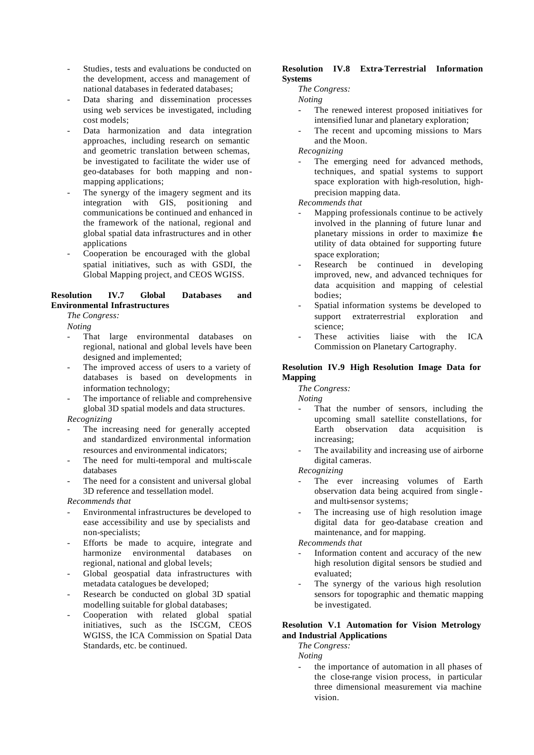- Studies, tests and evaluations be conducted on the development, access and management of national databases in federated databases;
- Data sharing and dissemination processes using web services be investigated, including cost models;
- Data harmonization and data integration approaches, including research on semantic and geometric translation between schemas, be investigated to facilitate the wider use of geo-databases for both mapping and nonmapping applications;
- The synergy of the imagery segment and its integration with GIS, positioning and communications be continued and enhanced in the framework of the national, regional and global spatial data infrastructures and in other applications
- Cooperation be encouraged with the global spatial initiatives, such as with GSDI, the Global Mapping project, and CEOS WGISS.

#### **Resolution IV.7 Global Databases and Environmental Infrastructures**

*The Congress:*

*Noting*

- That large environmental databases on regional, national and global levels have been designed and implemented;
- The improved access of users to a variety of databases is based on developments in information technology;
- The importance of reliable and comprehensive global 3D spatial models and data structures.

*Recognizing*

- The increasing need for generally accepted and standardized environmental information resources and environmental indicators;
- The need for multi-temporal and multi-scale databases
- The need for a consistent and universal global 3D reference and tessellation model.

*Recommends that*

- Environmental infrastructures be developed to ease accessibility and use by specialists and non-specialists;
- Efforts be made to acquire, integrate and harmonize environmental databases on regional, national and global levels;
- Global geospatial data infrastructures with metadata catalogues be developed;
- Research be conducted on global 3D spatial modelling suitable for global databases;
- Cooperation with related global spatial initiatives, such as the ISCGM, CEOS WGISS, the ICA Commission on Spatial Data Standards, etc. be continued.

#### **Resolution IV.8 Extra-Terrestrial Information Systems**

*The Congress:*

*Noting*

- The renewed interest proposed initiatives for intensified lunar and planetary exploration;
- The recent and upcoming missions to Mars and the Moon.

*Recognizing*

The emerging need for advanced methods, techniques, and spatial systems to support space exploration with high-resolution, highprecision mapping data.

*Recommends that*

- Mapping professionals continue to be actively involved in the planning of future lunar and planetary missions in order to maximize the utility of data obtained for supporting future space exploration:
- Research be continued in developing improved, new, and advanced techniques for data acquisition and mapping of celestial bodies;
- Spatial information systems be developed to support extraterrestrial exploration and science;
- These activities liaise with the ICA Commission on Planetary Cartography.

#### **Resolution IV.9 High Resolution Image Data for Mapping**

*The Congress:*

*Noting*

- That the number of sensors, including the upcoming small satellite constellations, for Earth observation data acquisition is increasing;
- The availability and increasing use of airborne digital cameras.

*Recognizing*

- The ever increasing volumes of Earth observation data being acquired from single and multi-sensor systems;
- The increasing use of high resolution image digital data for geo-database creation and maintenance, and for mapping.

*Recommends that*

- Information content and accuracy of the new high resolution digital sensors be studied and evaluated;
- The synergy of the various high resolution sensors for topographic and thematic mapping be investigated.

#### **Resolution V.1 Automation for Vision Metrology and Industrial Applications**

*The Congress:*

*Noting*

the importance of automation in all phases of the close-range vision process, in particular three dimensional measurement via machine vision.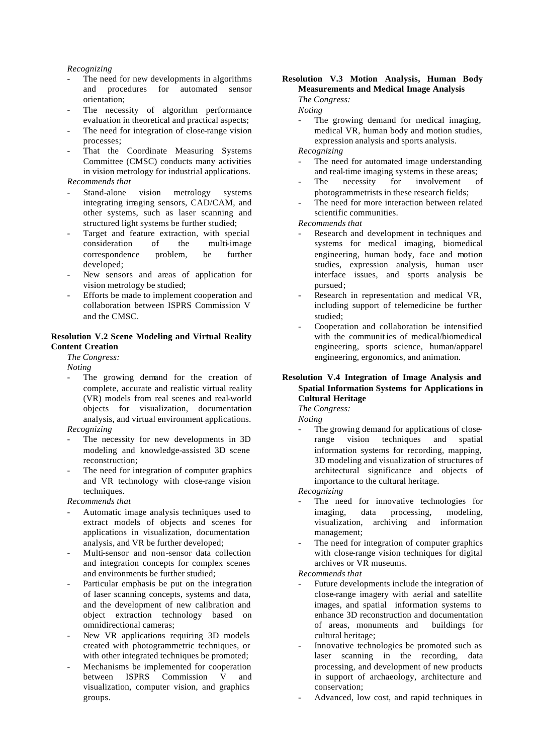#### *Recognizing*

- The need for new developments in algorithms and procedures for automated sensor orientation;
- The necessity of algorithm performance evaluation in theoretical and practical aspects;
- The need for integration of close-range vision processes;
- That the Coordinate Measuring Systems Committee (CMSC) conducts many activities in vision metrology for industrial applications. *Recommends that*
- Stand-alone vision metrology systems integrating imaging sensors, CAD/CAM, and other systems, such as laser scanning and structured light systems be further studied;
- Target and feature extraction, with special consideration of the multi-image correspondence problem, be further developed;
- New sensors and areas of application for vision metrology be studied;
- Efforts be made to implement cooperation and collaboration between ISPRS Commission V and the CMSC.

#### **Resolution V.2 Scene Modeling and Virtual Reality Content Creation**

*The Congress:*

*Noting*

- The growing demand for the creation of complete, accurate and realistic virtual reality (VR) models from real scenes and real-world objects for visualization, documentation analysis, and virtual environment applications. *Recognizing*
- The necessity for new developments in 3D modeling and knowledge-assisted 3D scene reconstruction;
- The need for integration of computer graphics and VR technology with close-range vision techniques.

#### *Recommends that*

- Automatic image analysis techniques used to extract models of objects and scenes for applications in visualization, documentation analysis, and VR be further developed;
- Multi-sensor and non-sensor data collection and integration concepts for complex scenes and environments be further studied;
- Particular emphasis be put on the integration of laser scanning concepts, systems and data, and the development of new calibration and object extraction technology based on omnidirectional cameras;
- New VR applications requiring 3D models created with photogrammetric techniques, or with other integrated techniques be promoted;
- Mechanisms be implemented for cooperation between ISPRS Commission V and visualization, computer vision, and graphics groups.

#### **Resolution V.3 Motion Analysis, Human Body Measurements and Medical Image Analysis**

*The Congress:*

*Noting*

The growing demand for medical imaging, medical VR, human body and motion studies, expression analysis and sports analysis.

#### *Recognizing*

- The need for automated image understanding and real-time imaging systems in these areas;
- The necessity for involvement of photogrammetrists in these research fields;
- The need for more interaction between related scientific communities.

*Recommends that*

- Research and development in techniques and systems for medical imaging, biomedical engineering, human body, face and motion studies, expression analysis, human user interface issues, and sports analysis be pursued;
- Research in representation and medical VR, including support of telemedicine be further studied;
- Cooperation and collaboration be intensified with the communit ies of medical/biomedical engineering, sports science, human/apparel engineering, ergonomics, and animation.

#### **Resolution V.4 Integration of Image Analysis and Spatial Information Systems for Applications in Cultural Heritage**

*The Congress:*

*Noting* The growing demand for applications of closerange vision techniques and spatial information systems for recording, mapping, 3D modeling and visualization of structures of architectural significance and objects of importance to the cultural heritage.

*Recognizing*

- The need for innovative technologies for imaging, data processing, modeling, visualization, archiving and information management;
- The need for integration of computer graphics with close-range vision techniques for digital archives or VR museums.

- Future developments include the integration of close-range imagery with aerial and satellite images, and spatial information systems to enhance 3D reconstruction and documentation of areas, monuments and buildings for cultural heritage;
- Innovative technologies be promoted such as laser scanning in the recording, data processing, and development of new products in support of archaeology, architecture and conservation;
- Advanced, low cost, and rapid techniques in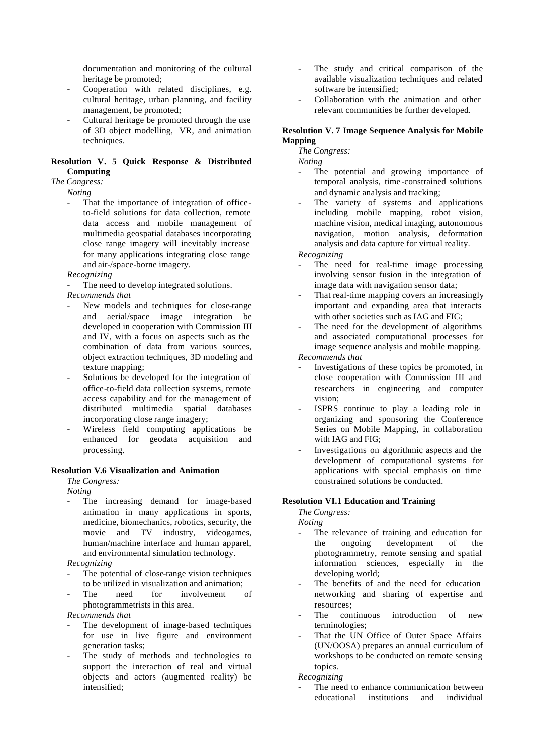documentation and monitoring of the cultural heritage be promoted;

- Cooperation with related disciplines, e.g. cultural heritage, urban planning, and facility management, be promoted;
- Cultural heritage be promoted through the use of 3D object modelling, VR, and animation techniques.

#### **Resolution V. 5 Quick Response & Distributed Computing**

#### *The Congress:*

*Noting*

That the importance of integration of officeto-field solutions for data collection, remote data access and mobile management of multimedia geospatial databases incorporating close range imagery will inevitably increase for many applications integrating close range and air-/space-borne imagery.

#### *Recognizing*

The need to develop integrated solutions.

*Recommends that*

- New models and techniques for close-range and aerial/space image integration be developed in cooperation with Commission III and IV, with a focus on aspects such as the combination of data from various sources, object extraction techniques, 3D modeling and texture mapping;
- Solutions be developed for the integration of office-to-field data collection systems, remote access capability and for the management of distributed multimedia spatial databases incorporating close range imagery;
- Wireless field computing applications be enhanced for geodata acquisition and processing.

#### **Resolution V.6 Visualization and Animation**

*The Congress:*

*Noting*

The increasing demand for image-based animation in many applications in sports, medicine, biomechanics, robotics, security, the movie and TV industry, videogames, human/machine interface and human apparel, and environmental simulation technology.

*Recognizing*

- The potential of close-range vision techniques to be utilized in visualization and animation;
- The need for involvement of photogrammetrists in this area.

*Recommends that*

- The development of image-based techniques for use in live figure and environment generation tasks;
- The study of methods and technologies to support the interaction of real and virtual objects and actors (augmented reality) be intensified;
- The study and critical comparison of the available visualization techniques and related software be intensified;
- Collaboration with the animation and other relevant communities be further developed.

#### **Resolution V. 7 Image Sequence Analysis for Mobile Mapping**

*The Congress:*

*Noting*

- The potential and growing importance of temporal analysis, time -constrained solutions and dynamic analysis and tracking;
- The variety of systems and applications including mobile mapping, robot vision, machine vision, medical imaging, autonomous navigation, motion analysis, deformation analysis and data capture for virtual reality.

*Recognizing*

- The need for real-time image processing involving sensor fusion in the integration of image data with navigation sensor data;
- That real-time mapping covers an increasingly important and expanding area that interacts with other societies such as IAG and FIG;
- The need for the development of algorithms and associated computational processes for image sequence analysis and mobile mapping.

*Recommends that*

- Investigations of these topics be promoted, in close cooperation with Commission III and researchers in engineering and computer vision;
- ISPRS continue to play a leading role in organizing and sponsoring the Conference Series on Mobile Mapping, in collaboration with IAG and FIG;
- Investigations on algorithmic aspects and the development of computational systems for applications with special emphasis on time constrained solutions be conducted.

#### **Resolution VI.1 Education and Training**

*The Congress: Noting* 

- The relevance of training and education for the ongoing development of the photogrammetry, remote sensing and spatial information sciences, especially in the developing world;
- The benefits of and the need for education networking and sharing of expertise and resources;
- The continuous introduction of new terminologies;
- That the UN Office of Outer Space Affairs (UN/OOSA) prepares an annual curriculum of workshops to be conducted on remote sensing topics.

*Recognizing*

The need to enhance communication between educational institutions and individual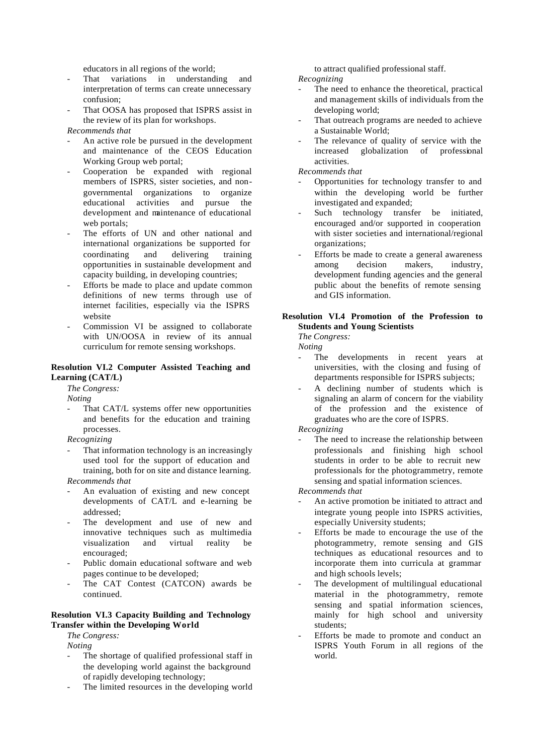educators in all regions of the world;

- That variations in understanding and interpretation of terms can create unnecessary confusion;
- That OOSA has proposed that ISPRS assist in the review of its plan for workshops.

#### *Recommends that*

- An active role be pursued in the development and maintenance of the CEOS Education Working Group web portal;
- Cooperation be expanded with regional members of ISPRS, sister societies, and nongovernmental organizations to organize educational activities and pursue the development and maintenance of educational web portals;
- The efforts of UN and other national and international organizations be supported for coordinating and delivering training opportunities in sustainable development and capacity building, in developing countries;
- Efforts be made to place and update common definitions of new terms through use of internet facilities, especially via the ISPRS website
- Commission VI be assigned to collaborate with UN/OOSA in review of its annual curriculum for remote sensing workshops.

#### **Resolution VI.2 Computer Assisted Teaching and Learning (CAT/L)**

*The Congress:* 

*Noting*

That CAT/L systems offer new opportunities and benefits for the education and training processes.

*Recognizing*

That information technology is an increasingly used tool for the support of education and training, both for on site and distance learning.

*Recommends that*

- An evaluation of existing and new concept developments of CAT/L and e-learning be addressed;
- The development and use of new and innovative techniques such as multimedia visualization and virtual reality be encouraged;
- Public domain educational software and web pages continue to be developed;
- The CAT Contest (CATCON) awards be continued.

#### **Resolution VI.3 Capacity Building and Technology Transfer within the Developing World**

*The Congress:* 

*Noting* 

- The shortage of qualified professional staff in the developing world against the background of rapidly developing technology;
- The limited resources in the developing world

to attract qualified professional staff. *Recognizing*

- The need to enhance the theoretical, practical and management skills of individuals from the developing world;
- That outreach programs are needed to achieve a Sustainable World;
- The relevance of quality of service with the increased globalization of professional activities.

*Recommends that*

- Opportunities for technology transfer to and within the developing world be further investigated and expanded;
- Such technology transfer be initiated, encouraged and/or supported in cooperation with sister societies and international/regional organizations;
- Efforts be made to create a general awareness among decision makers, industry, development funding agencies and the general public about the benefits of remote sensing and GIS information.

#### **Resolution VI.4 Promotion of the Profession to Students and Young Scientists**

*The Congress:*

*Noting*

- The developments in recent years at universities, with the closing and fusing of departments responsible for ISPRS subjects;
- A declining number of students which is signaling an alarm of concern for the viability of the profession and the existence of graduates who are the core of ISPRS.

*Recognizing*

The need to increase the relationship between professionals and finishing high school students in order to be able to recruit new professionals for the photogrammetry, remote sensing and spatial information sciences.

- An active promotion be initiated to attract and integrate young people into ISPRS activities, especially University students;
- Efforts be made to encourage the use of the photogrammetry, remote sensing and GIS techniques as educational resources and to incorporate them into curricula at grammar and high schools levels;
- The development of multilingual educational material in the photogrammetry, remote sensing and spatial information sciences, mainly for high school and university students;
- Efforts be made to promote and conduct an ISPRS Youth Forum in all regions of the world.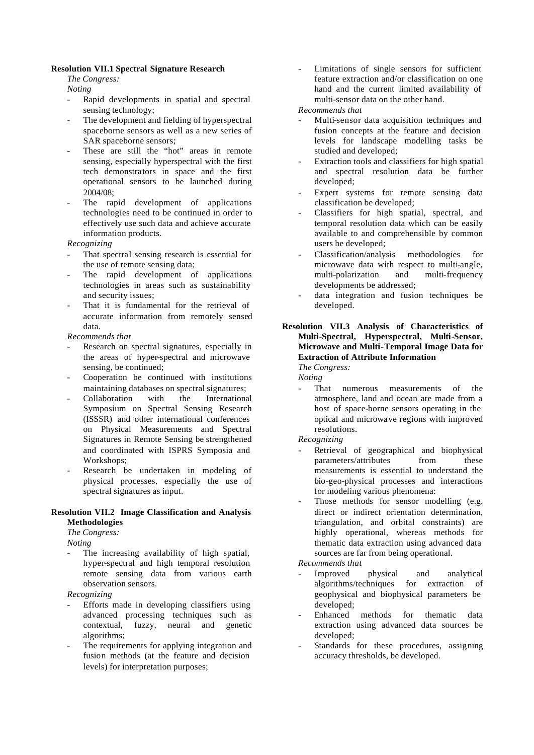#### **Resolution VII.1 Spectral Signature Research**

*The Congress:*

*Noting*

- Rapid developments in spatial and spectral sensing technology;
- The development and fielding of hyperspectral spaceborne sensors as well as a new series of SAR spaceborne sensors;
- These are still the "hot" areas in remote sensing, especially hyperspectral with the first tech demonstrators in space and the first operational sensors to be launched during 2004/08;
- The rapid development of applications technologies need to be continued in order to effectively use such data and achieve accurate information products.

*Recognizing*

- That spectral sensing research is essential for the use of remote sensing data;
- The rapid development of applications technologies in areas such as sustainability and security issues;
- That it is fundamental for the retrieval of accurate information from remotely sensed data.

*Recommends that*

- Research on spectral signatures, especially in the areas of hyper-spectral and microwave sensing, be continued;
- Cooperation be continued with institutions maintaining databases on spectral signatures;
- Collaboration with the International Symposium on Spectral Sensing Research (ISSSR) and other international conferences on Physical Measurements and Spectral Signatures in Remote Sensing be strengthened and coordinated with ISPRS Symposia and Workshops;
- Research be undertaken in modeling of physical processes, especially the use of spectral signatures as input.

#### **Resolution VII.2 Image Classification and Analysis Methodologies**

*The Congress:*

*Noting*

The increasing availability of high spatial, hyper-spectral and high temporal resolution remote sensing data from various earth observation sensors.

*Recognizing*

- Efforts made in developing classifiers using advanced processing techniques such as contextual, fuzzy, neural and genetic algorithms;
- The requirements for applying integration and fusion methods (at the feature and decision levels) for interpretation purposes;

- Limitations of single sensors for sufficient feature extraction and/or classification on one hand and the current limited availability of multi-sensor data on the other hand.

*Recommends that*

- Multi-sensor data acquisition techniques and fusion concepts at the feature and decision levels for landscape modelling tasks be studied and developed;
- Extraction tools and classifiers for high spatial and spectral resolution data be further developed;
- Expert systems for remote sensing data classification be developed;
- Classifiers for high spatial, spectral, and temporal resolution data which can be easily available to and comprehensible by common users be developed;
- Classification/analysis methodologies for microwave data with respect to multi-angle, multi-polarization and multi-frequency developments be addressed;
- data integration and fusion techniques be developed.

#### **Resolution VII.3 Analysis of Characteristics of Multi-Spectral, Hyperspectral, Multi-Sensor, Microwave and Multi-Temporal Image Data for Extraction of Attribute Information**

*The Congress:*

- *Noting*
- That numerous measurements of the atmosphere, land and ocean are made from a host of space-borne sensors operating in the optical and microwave regions with improved resolutions.

*Recognizing*

- Retrieval of geographical and biophysical parameters/attributes from these measurements is essential to understand the bio-geo-physical processes and interactions for modeling various phenomena:
- Those methods for sensor modelling (e.g. direct or indirect orientation determination, triangulation, and orbital constraints) are highly operational, whereas methods for thematic data extraction using advanced data sources are far from being operational.

- Improved physical and analytical algorithms/techniques for extraction of geophysical and biophysical parameters be developed;
- Enhanced methods for thematic data extraction using advanced data sources be developed;
- Standards for these procedures, assigning accuracy thresholds, be developed.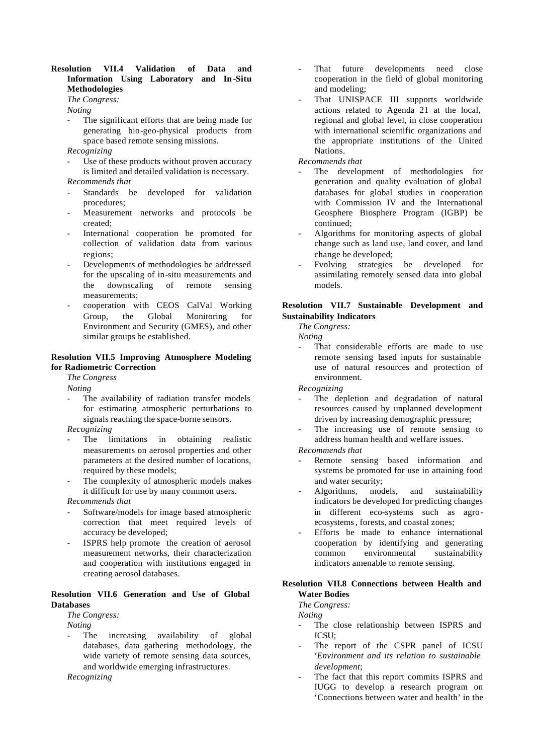#### **Resolution VII.4 Validation of Data and Information Using Laboratory and In -Situ Methodologies**

*The Congress:*

*Noting*

The significant efforts that are being made for generating bio-geo-physical products from space based remote sensing missions.

*Recognizing*

- Use of these products without proven accuracy is limited and detailed validation is necessary. *Recommends that*
- Standards be developed for validation procedures;
- Measurement networks and protocols be created;
- International cooperation be promoted for collection of validation data from various regions;
- Developments of methodologies be addressed for the upscaling of in-situ measurements and the downscaling of remote sensing measurements;
- cooperation with CEOS CalVal Working Group, the Global Monitoring for Environment and Security (GMES), and other similar groups be established.

#### **Resolution VII.5 Improving Atmosphere Modeling for Radiometric Correction**

*The Congress*

*Noting*

The availability of radiation transfer models for estimating atmospheric perturbations to signals reaching the space-borne sensors.

*Recognizing*

- The limitations in obtaining realistic measurements on aerosol properties and other parameters at the desired number of locations, required by these models;
- The complexity of atmospheric models makes it difficult for use by many common users.

*Recommends that*

- Software/models for image based atmospheric correction that meet required levels of accuracy be developed;
- ISPRS help promote the creation of aerosol measurement networks, their characterization and cooperation with institutions engaged in creating aerosol databases.

#### **Resolution VII.6 Generation and Use of Global Databases**

*The Congress:*

*Noting*

The increasing availability of global databases, data gathering methodology, the wide variety of remote sensing data sources, and worldwide emerging infrastructures.

*Recognizing*

- That future developments need close cooperation in the field of global monitoring and modeling;
- That UNISPACE III supports worldwide actions related to Agenda 21 at the local, regional and global level, in close cooperation with international scientific organizations and the appropriate institutions of the United Nations.

*Recommends that*

- The development of methodologies for generation and quality evaluation of global databases for global studies in cooperation with Commission IV and the International Geosphere Biosphere Program (IGBP) be continued;
- Algorithms for monitoring aspects of global change such as land use, land cover, and land change be developed;
- Evolving strategies be developed for assimilating remotely sensed data into global models.

#### **Resolution VII.7 Sustainable Development and Sustainability Indicators**

*The Congress:*

*Noting*

That considerable efforts are made to use remote sensing based inputs for sustainable use of natural resources and protection of environment.

*Recognizing*

- The depletion and degradation of natural resources caused by unplanned development driven by increasing demographic pressure;
- The increasing use of remote sensing to address human health and welfare issues.

*Recommends that*

- Remote sensing based information and systems be promoted for use in attaining food and water security;
- Algorithms, models, and sustainability indicators be developed for predicting changes in different eco-systems such as agroecosystems, forests, and coastal zones;
- Efforts be made to enhance international cooperation by identifying and generating common environmental sustainability indicators amenable to remote sensing.

#### **Resolution VII.8 Connections between Health and Water Bodies**

*The Congress:*

*Noting*

- The close relationship between ISPRS and ICSU;
- The report of the CSPR panel of ICSU '*Environment and its relation to sustainable development*;
- The fact that this report commits ISPRS and IUGG to develop a research program on 'Connections between water and health' in the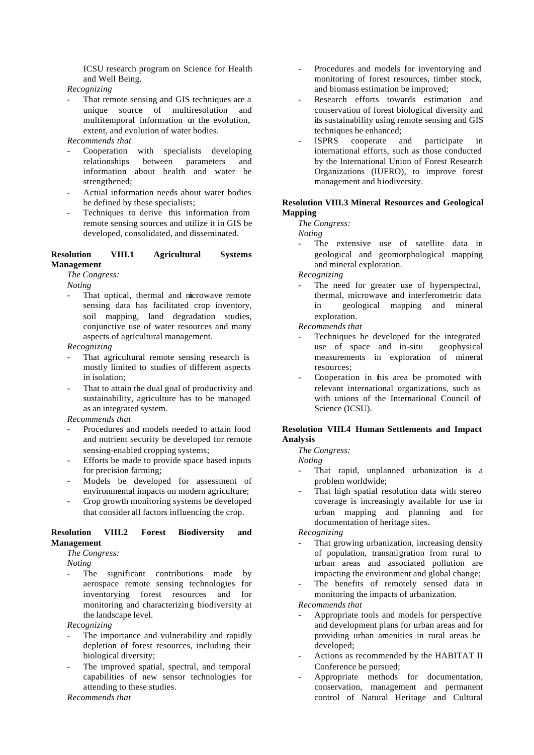ICSU research program on Science for Health and Well Being.

*Recognizing*

- That remote sensing and GIS techniques are a unique source of multiresolution and multitemporal information on the evolution, extent, and evolution of water bodies.
- *Recommends that*
- Cooperation with specialists developing relationships between parameters and information about health and water be strengthened;
- Actual information needs about water bodies be defined by these specialists;
- Techniques to derive this information from remote sensing sources and utilize it in GIS be developed, consolidated, and disseminated.

#### **Resolution VIII.1 Agricultural Systems Management**

*The Congress:*

*Noting*

That optical, thermal and microwave remote sensing data has facilitated crop inventory, soil mapping, land degradation studies, conjunctive use of water resources and many aspects of agricultural management.

#### *Recognizing*

- That agricultural remote sensing research is mostly limited to studies of different aspects in isolation;
- That to attain the dual goal of productivity and sustainability, agriculture has to be managed as an integrated system.

*Recommends that*

- Procedures and models needed to attain food and nutrient security be developed for remote sensing-enabled cropping systems;
- Efforts be made to provide space based inputs for precision farming;
- Models be developed for assessment of environmental impacts on modern agriculture;
- Crop growth monitoring systems be developed that consider all factors influencing the crop.

#### **Resolution VIII.2 Forest Biodiversity and Management**

#### *The Congress:*

*Noting*

The significant contributions made by aerospace remote sensing technologies for inventorying forest resources and for monitoring and characterizing biodiversity at the landscape level.

*Recognizing*

- The importance and vulnerability and rapidly depletion of forest resources, including their biological diversity;
- The improved spatial, spectral, and temporal capabilities of new sensor technologies for attending to these studies.

*Recommends that*

- Procedures and models for inventorying and monitoring of forest resources, timber stock, and biomass estimation be improved;
- Research efforts towards estimation and conservation of forest biological diversity and its sustainability using remote sensing and GIS techniques be enhanced;
- ISPRS cooperate and participate in international efforts, such as those conducted by the International Union of Forest Research Organizations (IUFRO), to improve forest management and biodiversity.

#### **Resolution VIII.3 Mineral Resources and Geological Mapping**

*The Congress:*

*Noting*

The extensive use of satellite data in geological and geomorphological mapping and mineral exploration.

*Recognizing*

The need for greater use of hyperspectral, thermal, microwave and interferometric data in geological mapping and mineral exploration.

*Recommends that*

- Techniques be developed for the integrated use of space and in-situ geophysical measurements in exploration of mineral resources;
- Cooperation in this area be promoted with relevant international organizations, such as with unions of the International Council of Science (ICSU).

#### **Resolution VIII.4 Human Settlements and Impact Analysis**

*The Congress:*

*Noting*

- That rapid, unplanned urbanization is a problem worldwide;
- That high spatial resolution data with stereo coverage is increasingly available for use in urban mapping and planning and for documentation of heritage sites.

*Recognizing*

- That growing urbanization, increasing density of population, transmigration from rural to urban areas and associated pollution are impacting the environment and global change;
- The benefits of remotely sensed data in monitoring the impacts of urbanization.

- Appropriate tools and models for perspective and development plans for urban areas and for providing urban amenities in rural areas be developed;
- Actions as recommended by the HABITAT II Conference be pursued;
- Appropriate methods for documentation, conservation, management and permanent control of Natural Heritage and Cultural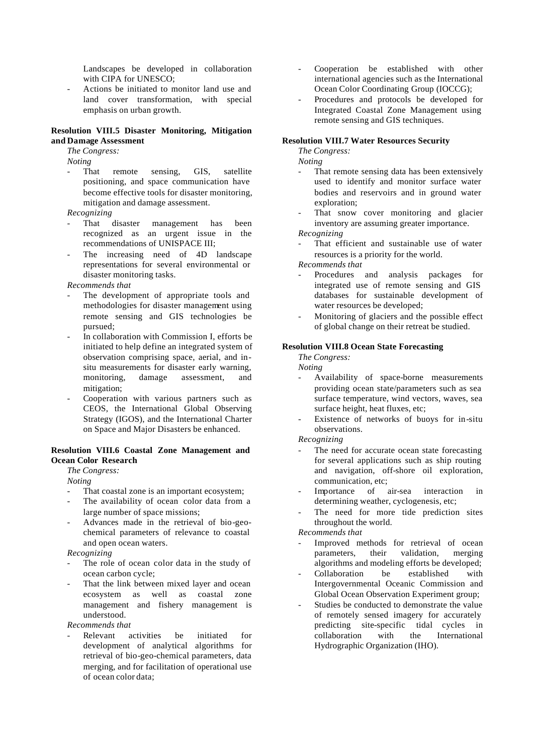Landscapes be developed in collaboration with CIPA for UNESCO;

- Actions be initiated to monitor land use and land cover transformation, with special emphasis on urban growth.

#### **Resolution VIII.5 Disaster Monitoring, Mitigation and Damage Assessment**

*The Congress:*

*Noting*

That remote sensing, GIS, satellite positioning, and space communication have become effective tools for disaster monitoring, mitigation and damage assessment.

*Recognizing*

- That disaster management has been recognized as an urgent issue in the recommendations of UNISPACE III;
- The increasing need of 4D landscape representations for several environmental or disaster monitoring tasks.

#### *Recommends that*

- The development of appropriate tools and methodologies for disaster management using remote sensing and GIS technologies be pursued;
- In collaboration with Commission I, efforts be initiated to help define an integrated system of observation comprising space, aerial, and insitu measurements for disaster early warning, monitoring, damage assessment, and mitigation;
- Cooperation with various partners such as CEOS, the International Global Observing Strategy (IGOS), and the International Charter on Space and Major Disasters be enhanced.

#### **Resolution VIII.6 Coastal Zone Management and Ocean Color Research**

*The Congress:*

*Noting*

- That coastal zone is an important ecosystem;
- The availability of ocean color data from a large number of space missions;
- Advances made in the retrieval of bio-geochemical parameters of relevance to coastal and open ocean waters.

#### *Recognizing*

- The role of ocean color data in the study of ocean carbon cycle;
- That the link between mixed layer and ocean ecosystem as well as coastal zone management and fishery management is understood.

#### *Recommends that*

Relevant activities be initiated for development of analytical algorithms for retrieval of bio-geo-chemical parameters, data merging, and for facilitation of operational use of ocean color data;

- Cooperation be established with other international agencies such as the International Ocean Color Coordinating Group (IOCCG);
- Procedures and protocols be developed for Integrated Coastal Zone Management using remote sensing and GIS techniques.

#### **Resolution VIII.7 Water Resources Security**

*The Congress:*

*Noting*

- That remote sensing data has been extensively used to identify and monitor surface water bodies and reservoirs and in ground water exploration;
- That snow cover monitoring and glacier inventory are assuming greater importance.

*Recognizing*

That efficient and sustainable use of water resources is a priority for the world.

*Recommends that*

- Procedures and analysis packages for integrated use of remote sensing and GIS databases for sustainable development of water resources be developed;
- Monitoring of glaciers and the possible effect of global change on their retreat be studied.

#### **Resolution VIII.8 Ocean State Forecasting**

*The Congress: Noting*

- Availability of space-borne measurements providing ocean state/parameters such as sea surface temperature, wind vectors, waves, sea surface height, heat fluxes, etc;
- Existence of networks of buoys for in-situ observations.

*Recognizing*

- The need for accurate ocean state forecasting for several applications such as ship routing and navigation, off-shore oil exploration, communication, etc;
- Importance of air-sea interaction in determining weather, cyclogenesis, etc;
- The need for more tide prediction sites throughout the world.

- Improved methods for retrieval of ocean parameters, their validation, merging algorithms and modeling efforts be developed;
- Collaboration be established with Intergovernmental Oceanic Commission and Global Ocean Observation Experiment group;
- Studies be conducted to demonstrate the value of remotely sensed imagery for accurately predicting site-specific tidal cycles in collaboration with the International Hydrographic Organization (IHO).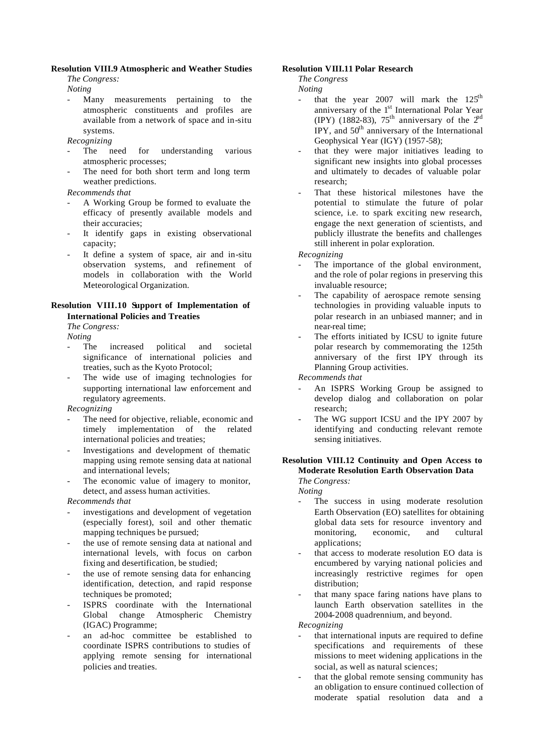#### **Resolution VIII.9 Atmospheric and Weather Studies**

*The Congress:*

*Noting*

- Many measurements pertaining to the atmospheric constituents and profiles are available from a network of space and in-situ systems.
- *Recognizing*
- The need for understanding various atmospheric processes;
- The need for both short term and long term weather predictions.

#### *Recommends that*

- A Working Group be formed to evaluate the efficacy of presently available models and their accuracies;
- It identify gaps in existing observational capacity;
- It define a system of space, air and in-situ observation systems, and refinement of models in collaboration with the World Meteorological Organization.

#### **Resolution VIII.10 Support of Implementation of International Policies and Treaties**

*The Congress:*

*Noting*

- The increased political and societal significance of international policies and treaties, such as the Kyoto Protocol;
- The wide use of imaging technologies for supporting international law enforcement and regulatory agreements.

*Recognizing*

- The need for objective, reliable, economic and timely implementation of the related international policies and treaties;
- Investigations and development of thematic mapping using remote sensing data at national and international levels;
- The economic value of imagery to monitor, detect, and assess human activities.

#### *Recommends that*

- investigations and development of vegetation (especially forest), soil and other thematic mapping techniques be pursued;
- the use of remote sensing data at national and international levels, with focus on carbon fixing and desertification, be studied;
- the use of remote sensing data for enhancing identification, detection, and rapid response techniques be promoted;
- ISPRS coordinate with the International Global change Atmospheric Chemistry (IGAC) Programme;
- an ad-hoc committee be established to coordinate ISPRS contributions to studies of applying remote sensing for international policies and treaties.

#### **Resolution VIII.11 Polar Research**

*The Congress*

*Noting*

- that the year 2007 will mark the  $125<sup>th</sup>$ anniversary of the 1<sup>st</sup> International Polar Year (IPY) (1882-83), 75<sup>th</sup> anniversary of the  $2<sup>nd</sup>$ IPY, and  $50<sup>th</sup>$  anniversary of the International Geophysical Year (IGY) (1957-58);
- that they were major initiatives leading to significant new insights into global processes and ultimately to decades of valuable polar research;
- That these historical milestones have the potential to stimulate the future of polar science, i.e. to spark exciting new research, engage the next generation of scientists, and publicly illustrate the benefits and challenges still inherent in polar exploration.

*Recognizing*

- The importance of the global environment, and the role of polar regions in preserving this invaluable resource;
- The capability of aerospace remote sensing technologies in providing valuable inputs to polar research in an unbiased manner; and in near-real time;
- The efforts initiated by ICSU to ignite future polar research by commemorating the 125th anniversary of the first IPY through its Planning Group activities.

*Recommends that*

- An ISPRS Working Group be assigned to develop dialog and collaboration on polar research;
- The WG support ICSU and the IPY 2007 by identifying and conducting relevant remote sensing initiatives.

#### **Resolution VIII.12 Continuity and Open Access to Moderate Resolution Earth Observation Data** *The Congress:*

*Noting*

- The success in using moderate resolution Earth Observation (EO) satellites for obtaining global data sets for resource inventory and monitoring, economic, and cultural applications;
- that access to moderate resolution EO data is encumbered by varying national policies and increasingly restrictive regimes for open distribution;
- that many space faring nations have plans to launch Earth observation satellites in the 2004-2008 quadrennium, and beyond.

*Recognizing*

- that international inputs are required to define specifications and requirements of these missions to meet widening applications in the social, as well as natural sciences;
- that the global remote sensing community has an obligation to ensure continued collection of moderate spatial resolution data and a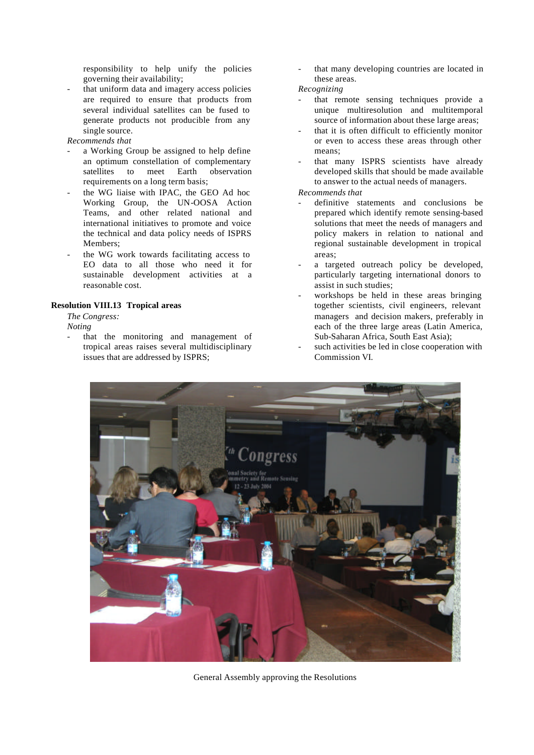responsibility to help unify the policies governing their availability;

that uniform data and imagery access policies are required to ensure that products from several individual satellites can be fused to generate products not producible from any single source.

*Recommends that* 

- a Working Group be assigned to help define an optimum constellation of complementary satellites to meet Earth observation requirements on a long term basis;
- the WG liaise with IPAC, the GEO Ad hoc Working Group, the UN-OOSA Action Teams, and other related national and international initiatives to promote and voice the technical and data policy needs of ISPRS Members;
- the WG work towards facilitating access to EO data to all those who need it for sustainable development activities at a reasonable cost.

#### **Resolution VIII.13 Tropical areas**

*The Congress:*

*Noting*

that the monitoring and management of tropical areas raises several multidisciplinary issues that are addressed by ISPRS;

that many developing countries are located in these areas.

*Recognizing*

- that remote sensing techniques provide a unique multiresolution and multitemporal source of information about these large areas;
- that it is often difficult to efficiently monitor or even to access these areas through other means;
- that many ISPRS scientists have already developed skills that should be made available to answer to the actual needs of managers.

- definitive statements and conclusions be prepared which identify remote sensing-based solutions that meet the needs of managers and policy makers in relation to national and regional sustainable development in tropical areas;
- a targeted outreach policy be developed, particularly targeting international donors to assist in such studies;
- workshops be held in these areas bringing together scientists, civil engineers, relevant managers and decision makers, preferably in each of the three large areas (Latin America, Sub-Saharan Africa, South East Asia);
- such activities be led in close cooperation with Commission VI.



General Assembly approving the Resolutions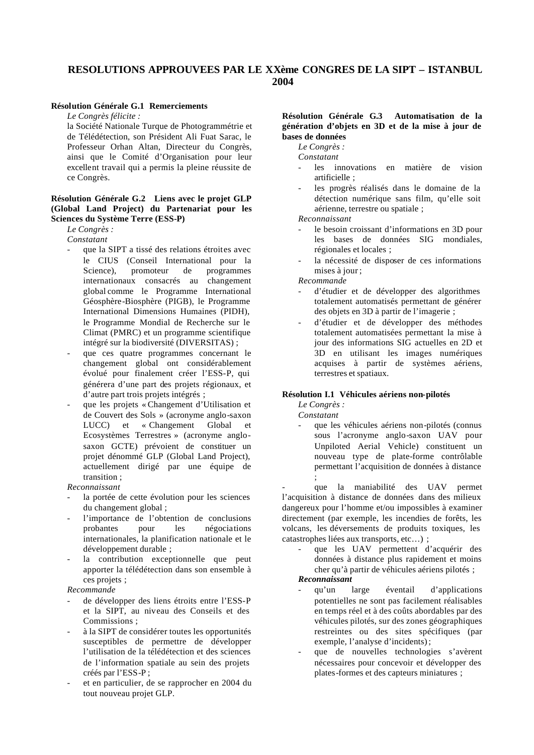#### **RESOLUTIONS APPROUVEES PAR LE XXème CONGRES DE LA SIPT – ISTANBUL 2004**

#### **Résolution Générale G.1 Remerciements**

*Le Congrès félicite :*

la Société Nationale Turque de Photogrammétrie et de Télédétection, son Président Ali Fuat Sarac, le Professeur Orhan Altan, Directeur du Congrès, ainsi que le Comité d'Organisation pour leur excellent travail qui a permis la pleine réussite de ce Congrès.

#### **Résolution Générale G.2 Liens avec le projet GLP (Global Land Project) du Partenariat pour les Sciences du Système Terre (ESS-P)**

*Le Congrès :*

*Constatant*

- que la SIPT a tissé des relations étroites avec le CIUS (Conseil International pour la Science), promoteur de programmes internationaux consacrés au changement global comme le Programme International Géosphère-Biosphère (PIGB), le Programme International Dimensions Humaines (PIDH), le Programme Mondial de Recherche sur le Climat (PMRC) et un programme scientifique intégré sur la biodiversité (DIVERSITAS) ;
- que ces quatre programmes concernant le changement global ont considérablement évolué pour finalement créer l'ESS-P, qui générera d'une part des projets régionaux, et d'autre part trois projets intégrés ;
- que les projets « Changement d'Utilisation et de Couvert des Sols » (acronyme anglo-saxon LUCC) et « Changement Global et Ecosystèmes Terrestres » (acronyme anglosaxon GCTE) prévoient de constituer un projet dénommé GLP (Global Land Project), actuellement dirigé par une équipe de transition ;

*Reconnaissant*

- la portée de cette évolution pour les sciences du changement global ;
- l'importance de l'obtention de conclusions probantes pour les négociations internationales, la planification nationale et le développement durable ;
- la contribution exceptionnelle que peut apporter la télédétection dans son ensemble à ces projets ;

*Recommande* 

- de développer des liens étroits entre l'ESS-P et la SIPT, au niveau des Conseils et des Commissions ;
- à la SIPT de considérer toutes les opportunités susceptibles de permettre de développer l'utilisation de la télédétection et des sciences de l'information spatiale au sein des projets créés par l'ESS-P ;
- et en particulier, de se rapprocher en 2004 du tout nouveau projet GLP.

#### **Résolution Générale G.3 Automatisation de la génération d'objets en 3D et de la mise à jour de bases de données**

*Le Congrès :*

*Constatant*

- les innovations en matière de vision artificielle ;
- les progrès réalisés dans le domaine de la détection numérique sans film, qu'elle soit aérienne, terrestre ou spatiale ;

*Reconnaissant*

- le besoin croissant d'informations en 3D pour les bases de données SIG mondiales, régionales et locales ;
- la nécessité de disposer de ces informations mises à jour ;

*Recommande*

- d'étudier et de développer des algorithmes totalement automatisés permettant de générer des objets en 3D à partir de l'imagerie ;
- d'étudier et de développer des méthodes totalement automatisées permettant la mise à jour des informations SIG actuelles en 2D et 3D en utilisant les images numériques acquises à partir de systèmes aériens, terrestres et spatiaux.

#### **Résolution I.1 Véhicules aériens non-pilotés**

*Le Congrès :*

*Constatant*

que les véhicules aériens non-pilotés (connus sous l'acronyme anglo-saxon UAV pour Unpiloted Aerial Vehicle) constituent un nouveau type de plate-forme contrôlable permettant l'acquisition de données à distance ;

que la maniabilité des UAV permet l'acquisition à distance de données dans des milieux dangereux pour l'homme et/ou impossibles à examiner directement (par exemple, les incendies de forêts, les volcans, les déversements de produits toxiques, les catastrophes liées aux transports, etc…) ;

> que les UAV permettent d'acquérir des données à distance plus rapidement et moins cher qu'à partir de véhicules aériens pilotés ;

#### *Reconnaissant*

- qu'un large éventail d'applications potentielles ne sont pas facilement réalisables en temps réel et à des coûts abordables par des véhicules pilotés, sur des zones géographiques restreintes ou des sites spécifiques (par exemple, l'analyse d'incidents);
- que de nouvelles technologies s'avèrent nécessaires pour concevoir et développer des plates-formes et des capteurs miniatures ;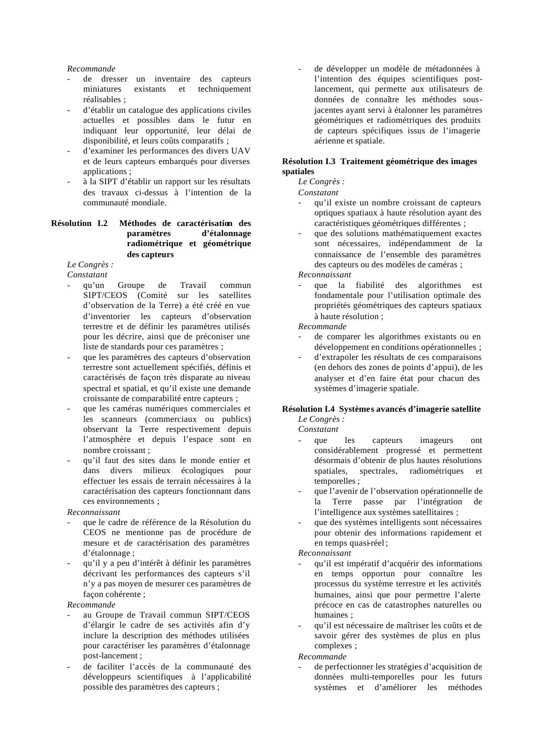#### *Recommande*

- de dresser un inventaire des capteurs miniatures existants et techniquement réalisables ;
- d'établir un catalogue des applications civiles actuelles et possibles dans le futur en indiquant leur opportunité, leur délai de disponibilité, et leurs coûts comparatifs ;
- d'examiner les performances des divers UAV et de leurs capteurs embarqués pour diverses applications ;
- à la SIPT d'établir un rapport sur les résultats des travaux ci-dessus à l'intention de la communauté mondiale.

#### **Résolution I.2 Méthodes de caractérisation des paramètres d'étalonnage radiométrique et géométrique des capteurs**

*Le Congrès : Constatant*

- qu'un Groupe de Travail commun SIPT/CEOS (Comité sur les satellites d'observation de la Terre) a été créé en vue d'inventorier les capteurs d'observation terrestre et de définir les paramètres utilisés pour les décrire, ainsi que de préconiser une liste de standards pour ces paramètres ;
- que les paramètres des capteurs d'observation terrestre sont actuellement spécifiés, définis et caractérisés de façon très disparate au niveau spectral et spatial, et qu'il existe une demande croissante de comparabilité entre capteurs ;
- que les caméras numériques commerciales et les scanneurs (commerciaux ou publics) observant la Terre respectivement depuis l'atmosphère et depuis l'espace sont en nombre croissant ;
- qu'il faut des sites dans le monde entier et dans divers milieux écologiques pour effectuer les essais de terrain nécessaires à la caractérisation des capteurs fonctionnant dans ces environnements ;

*Reconnaissant*

- que le cadre de référence de la Résolution du CEOS ne mentionne pas de procédure de mesure et de caractérisation des paramètres d'étalonnage ;
- qu'il y a peu d'intérêt à définir les paramètres décrivant les performances des capteurs s'il n'y a pas moyen de mesurer ces paramètres de façon cohérente ;

#### *Recommande*

- au Groupe de Travail commun SIPT/CEOS d'élargir le cadre de ses activités afin d'y inclure la description des méthodes utilisées pour caractériser les paramètres d'étalonnage post-lancement ;
- de faciliter l'accès de la communauté des développeurs scientifiques à l'applicabilité possible des paramètres des capteurs ;

de développer un modèle de métadonnées à l'intention des équipes scientifiques postlancement, qui permette aux utilisateurs de données de connaître les méthodes sousjacentes ayant servi à étalonner les paramètres géométriques et radiométriques des produits de capteurs spécifiques issus de l'imagerie aérienne et spatiale.

#### **Résolution I.3 Traitement géométrique des images spatiales**

*Le Congrès :* 

#### *Constatant*

- qu'il existe un nombre croissant de capteurs optiques spatiaux à haute résolution ayant des caractéristiques géométriques différentes ;
- que des solutions mathématiquement exactes sont nécessaires, indépendamment de la connaissance de l'ensemble des paramètres des capteurs ou des modèles de caméras ;

*Reconnaissant*

- que la fiabilité des algorithmes est fondamentale pour l'utilisation optimale des propriétés géométriques des capteurs spatiaux à haute résolution ;

*Recommande*

- de comparer les algorithmes existants ou en développement en conditions opérationnelles ;
- d'extrapoler les résultats de ces comparaisons (en dehors des zones de points d'appui), de les analyser et d'en faire état pour chacun des systèmes d'imagerie spatiale.

#### **Résolution I.4 Systèmes avancés d'imagerie satellite**

*Le Congrès : Constatant* 

- que les capteurs imageurs ont considérablement progressé et permettent désormais d'obtenir de plus hautes résolutions spatiales, spectrales, radiométriques et temporelles ;
- que l'avenir de l'observation opérationnelle de la Terre passe par l'intégration de l'intelligence aux systèmes satellitaires ;
- que des systèmes intelligents sont nécessaires pour obtenir des informations rapidement et en temps quasi-réel ;

#### *Reconnaissant*

- qu'il est impératif d'acquérir des informations en temps opportun pour connaître les processus du système terrestre et les activités humaines, ainsi que pour permettre l'alerte précoce en cas de catastrophes naturelles ou humaines ·
- qu'il est nécessaire de maîtriser les coûts et de savoir gérer des systèmes de plus en plus complexes ;

*Recommande*

- de perfectionner les stratégies d'acquisition de données multi-temporelles pour les futurs systèmes et d'améliorer les méthodes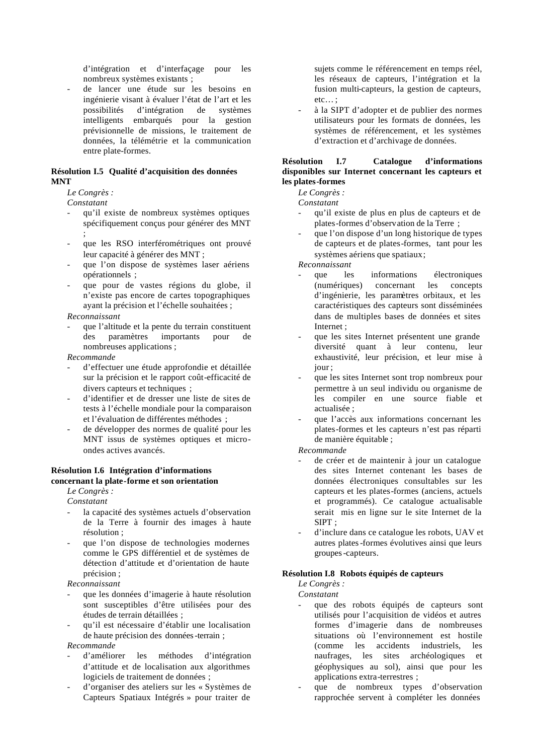d'intégration et d'interfaçage pour les nombreux systèmes existants ;

- de lancer une étude sur les besoins en ingénierie visant à évaluer l'état de l'art et les possibilités d'intégration de systèmes intelligents embarqués pour la gestion prévisionnelle de missions, le traitement de données, la télémétrie et la communication entre plate-formes.

#### **Résolution I.5 Qualité d'acquisition des données MNT**

*Le Congrès :* 

*Constatant*

- qu'il existe de nombreux systèmes optiques spécifiquement conçus pour générer des MNT ;
- que les RSO interférométriques ont prouvé leur capacité à générer des MNT ;
- que l'on dispose de systèmes laser aériens opérationnels ;
- que pour de vastes régions du globe, il n'existe pas encore de cartes topographiques ayant la précision et l'échelle souhaitées ;

#### *Reconnaissant*

que l'altitude et la pente du terrain constituent des paramètres importants pour de nombreuses applications ;

*Recommande*

- d'effectuer une étude approfondie et détaillée sur la précision et le rapport coût-efficacité de divers capteurs et techniques ;
- d'identifier et de dresser une liste de sites de tests à l'échelle mondiale pour la comparaison et l'évaluation de différentes méthodes ;
- de développer des normes de qualité pour les MNT issus de systèmes optiques et microondes actives avancés.

#### **Résolution I.6 Intégration d'informations concernant la plate-forme et son orientation**

*Le Congrès :* 

*Constatant*

- la capacité des systèmes actuels d'observation de la Terre à fournir des images à haute résolution ;
- que l'on dispose de technologies modernes comme le GPS différentiel et de systèmes de détection d'attitude et d'orientation de haute précision ;

*Reconnaissant*

- que les données d'imagerie à haute résolution sont susceptibles d'être utilisées pour des études de terrain détaillées ;
- qu'il est nécessaire d'établir une localisation de haute précision des données-terrain ;

#### *Recommande*

- d'améliorer les méthodes d'intégration d'attitude et de localisation aux algorithmes logiciels de traitement de données ;
- d'organiser des ateliers sur les « Systèmes de Capteurs Spatiaux Intégrés » pour traiter de

sujets comme le référencement en temps réel, les réseaux de capteurs, l'intégration et la fusion multi-capteurs, la gestion de capteurs, etc… ;

- à la SIPT d'adopter et de publier des normes utilisateurs pour les formats de données, les systèmes de référencement, et les systèmes d'extraction et d'archivage de données.

#### **Résolution I.7 Catalogue d'informations disponibles sur Internet concernant les capteurs et les plates-formes**

*Le Congrès :* 

*Constatant*

- qu'il existe de plus en plus de capteurs et de plates-formes d'observation de la Terre ;
- que l'on dispose d'un long historique de types de capteurs et de plates-formes, tant pour les systèmes aériens que spatiaux;

*Reconnaissant*

- que les informations électroniques (numériques) concernant les concepts d'ingénierie, les paramètres orbitaux, et les caractéristiques des capteurs sont disséminées dans de multiples bases de données et sites Internet ;
- que les sites Internet présentent une grande diversité quant à leur contenu, leur exhaustivité, leur précision, et leur mise à jour ;
- que les sites Internet sont trop nombreux pour permettre à un seul individu ou organisme de les compiler en une source fiable et actualisée ;
- que l'accès aux informations concernant les plates-formes et les capteurs n'est pas réparti de manière équitable ;

#### *Recommande*

- de créer et de maintenir à jour un catalogue des sites Internet contenant les bases de données électroniques consultables sur les capteurs et les plates-formes (anciens, actuels et programmés). Ce catalogue actualisable serait mis en ligne sur le site Internet de la SIPT ;
- d'inclure dans ce catalogue les robots, UAV et autres plates-formes évolutives ainsi que leurs groupes-capteurs.

#### **Résolution I.8 Robots équipés de capteurs**

*Le Congrès :* 

*Constatant*

- que des robots équipés de capteurs sont utilisés pour l'acquisition de vidéos et autres formes d'imagerie dans de nombreuses situations où l'environnement est hostile (comme les accidents industriels, les naufrages, les sites archéologiques et géophysiques au sol), ainsi que pour les applications extra-terrestres ;
- que de nombreux types d'observation rapprochée servent à compléter les données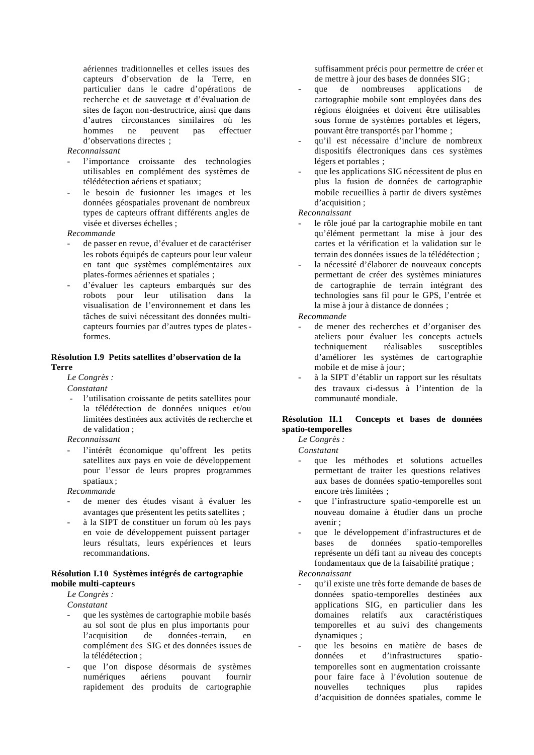aériennes traditionnelles et celles issues des capteurs d'observation de la Terre, en particulier dans le cadre d'opérations de recherche et de sauvetage et d'évaluation de sites de façon non-destructrice, ainsi que dans d'autres circonstances similaires où les hommes ne peuvent pas effectuer d'observations directes ;

#### *Reconnaissant*

- l'importance croissante des technologies utilisables en complément des systèmes de télédétection aériens et spatiaux;
- le besoin de fusionner les images et les données géospatiales provenant de nombreux types de capteurs offrant différents angles de visée et diverses échelles ;

#### *Recommande*

- de passer en revue, d'évaluer et de caractériser les robots équipés de capteurs pour leur valeur en tant que systèmes complémentaires aux plates-formes aériennes et spatiales ;
- d'évaluer les capteurs embarqués sur des robots pour leur utilisation dans la visualisation de l'environnement et dans les tâches de suivi nécessitant des données multicapteurs fournies par d'autres types de platesformes.

#### **Résolution I.9 Petits satellites d'observation de la Terre**

#### *Le Congrès :*

*Constatant*

l'utilisation croissante de petits satellites pour la télédétection de données uniques et/ou limitées destinées aux activités de recherche et de validation ;

#### *Reconnaissant*

l'intérêt économique qu'offrent les petits satellites aux pays en voie de développement pour l'essor de leurs propres programmes spatiaux ;

*Recommande*

- de mener des études visant à évaluer les avantages que présentent les petits satellites ;
- à la SIPT de constituer un forum où les pays en voie de développement puissent partager leurs résultats, leurs expériences et leurs recommandations.

#### **Résolution I.10 Systèmes intégrés de cartographie mobile multi-capteurs**

*Le Congrès :* 

*Constatant*

- que les systèmes de cartographie mobile basés au sol sont de plus en plus importants pour l'acquisition de données-terrain, en complément des SIG et des données issues de la télédétection ;
- que l'on dispose désormais de systèmes numériques aériens pouvant fournir rapidement des produits de cartographie

suffisamment précis pour permettre de créer et de mettre à jour des bases de données SIG ;

- que de nombreuses applications de cartographie mobile sont employées dans des régions éloignées et doivent être utilisables sous forme de systèmes portables et légers, pouvant être transportés par l'homme ;
- qu'il est nécessaire d'inclure de nombreux dispositifs électroniques dans ces systèmes légers et portables ;
- que les applications SIG nécessitent de plus en plus la fusion de données de cartographie mobile recueillies à partir de divers systèmes d'acquisition ;

#### *Reconnaissant*

- le rôle joué par la cartographie mobile en tant qu'élément permettant la mise à jour des cartes et la vérification et la validation sur le terrain des données issues de la télédétection ;
- la nécessité d'élaborer de nouveaux concepts permettant de créer des systèmes miniatures de cartographie de terrain intégrant des technologies sans fil pour le GPS, l'entrée et la mise à jour à distance de données ;

*Recommande*

- de mener des recherches et d'organiser des ateliers pour évaluer les concepts actuels techniquement réalisables susceptibles d'améliorer les systèmes de cartographie mobile et de mise à jour;
- à la SIPT d'établir un rapport sur les résultats des travaux ci-dessus à l'intention de la communauté mondiale.

#### **Résolution II.1 Concepts et bases de données spatio-temporelles**

*Le Congrès :* 

*Constatant*

- que les méthodes et solutions actuelles permettant de traiter les questions relatives aux bases de données spatio-temporelles sont encore très limitées ;
- que l'infrastructure spatio-temporelle est un nouveau domaine à étudier dans un proche avenir ;
- que le développement d'infrastructures et de bases de données spatio-temporelles représente un défi tant au niveau des concepts fondamentaux que de la faisabilité pratique ;

*Reconnaissant*

- qu'il existe une très forte demande de bases de données spatio-temporelles destinées aux applications SIG, en particulier dans les domaines relatifs aux caractéristiques temporelles et au suivi des changements dynamiques ;
- que les besoins en matière de bases de données et d'infrastructures spatiotemporelles sont en augmentation croissante pour faire face à l'évolution soutenue de nouvelles techniques plus rapides d'acquisition de données spatiales, comme le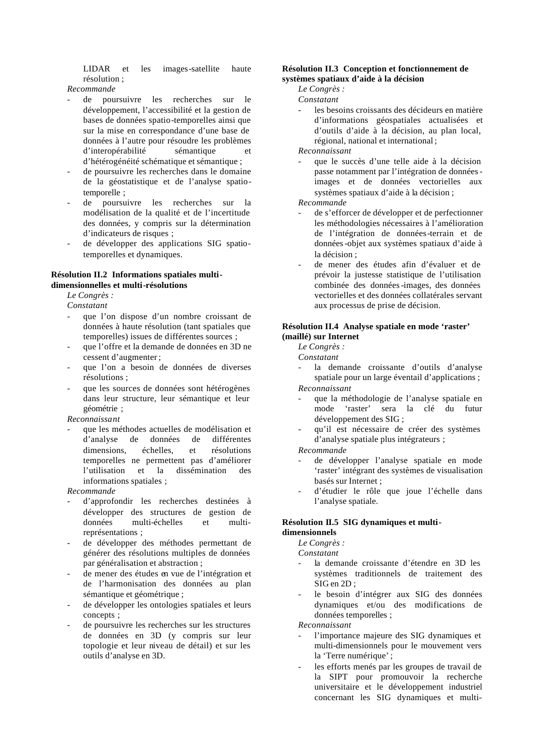LIDAR et les images-satellite haute résolution ;

*Recommande*

- de poursuivre les recherches sur le développement, l'accessibilité et la gestion de bases de données spatio-temporelles ainsi que sur la mise en correspondance d'une base de données à l'autre pour résoudre les problèmes d'interopérabilité sémantique et d'hétérogénéité schématique et sémantique ;
- de poursuivre les recherches dans le domaine de la géostatistique et de l'analyse spatiotemporelle ;
- de poursuivre les recherches sur la modélisation de la qualité et de l'incertitude des données, y compris sur la détermination d'indicateurs de risques ;
- de développer des applications SIG spatiotemporelles et dynamiques.

#### **Résolution II.2 Informations spatiales multidimensionnelles et multi-résolutions**

*Le Congrès :* 

*Constatant*

- que l'on dispose d'un nombre croissant de données à haute résolution (tant spatiales que temporelles) issues de différentes sources ;
- que l'offre et la demande de données en 3D ne cessent d'augmenter ;
- que l'on a besoin de données de diverses résolutions ;
- que les sources de données sont hétérogènes dans leur structure, leur sémantique et leur géométrie ;

*Reconnaissant*

que les méthodes actuelles de modélisation et d'analyse de données de différentes dimensions, échelles, et résolutions temporelles ne permettent pas d'améliorer l'utilisation et la dissémination des informations spatiales ;

*Recommande*

- d'approfondir les recherches destinées à développer des structures de gestion de données multi-échelles et multireprésentations ;
- de développer des méthodes permettant de générer des résolutions multiples de données par généralisation et abstraction ;
- de mener des études en vue de l'intégration et de l'harmonisation des données au plan sémantique et géométrique ;
- de développer les ontologies spatiales et leurs concepts ;
- de poursuivre les recherches sur les structures de données en 3D (y compris sur leur topologie et leur niveau de détail) et sur les outils d'analyse en 3D.

#### **Résolution II.3 Conception et fonctionnement de systèmes spatiaux d'aide à la décision**

*Le Congrès :* 

*Constatant*

les besoins croissants des décideurs en matière d'informations géospatiales actualisées et d'outils d'aide à la décision, au plan local, régional, national et international ;

*Reconnaissant*

que le succès d'une telle aide à la décision passe notamment par l'intégration de donnéesimages et de données vectorielles aux systèmes spatiaux d'aide à la décision ;

*Recommande*

- de s'efforcer de développer et de perfectionner les méthodologies nécessaires à l'amélioration de l'intégration de données-terrain et de données-objet aux systèmes spatiaux d'aide à la décision ;
- de mener des études afin d'évaluer et de prévoir la justesse statistique de l'utilisation combinée des données-images, des données vectorielles et des données collatérales servant aux processus de prise de décision.

#### **Résolution II.4 Analyse spatiale en mode 'raster' (maillé) sur Internet**

*Le Congrès :* 

*Constatant*

- la demande croissante d'outils d'analyse spatiale pour un large éventail d'applications ; *Reconnaissant*
- que la méthodologie de l'analyse spatiale en mode 'raster' sera la clé du futur développement des SIG ;
- qu'il est nécessaire de créer des systèmes d'analyse spatiale plus intégrateurs ;

*Recommande*

- de développer l'analyse spatiale en mode 'raster' intégrant des systèmes de visualisation basés sur Internet ;
- d'étudier le rôle que joue l'échelle dans l'analyse spatiale.

#### **Résolution II.5 SIG dynamiques et multi-**

**dimensionnels** 

*Le Congrès :* 

*Constatant*

- la demande croissante d'étendre en 3D les systèmes traditionnels de traitement des SIG en 2D ;
- le besoin d'intégrer aux SIG des données dynamiques et/ou des modifications de données temporelles ;

*Reconnaissant*

- l'importance majeure des SIG dynamiques et multi-dimensionnels pour le mouvement vers la 'Terre numérique' ;
- les efforts menés par les groupes de travail de la SIPT pour promouvoir la recherche universitaire et le développement industriel concernant les SIG dynamiques et multi-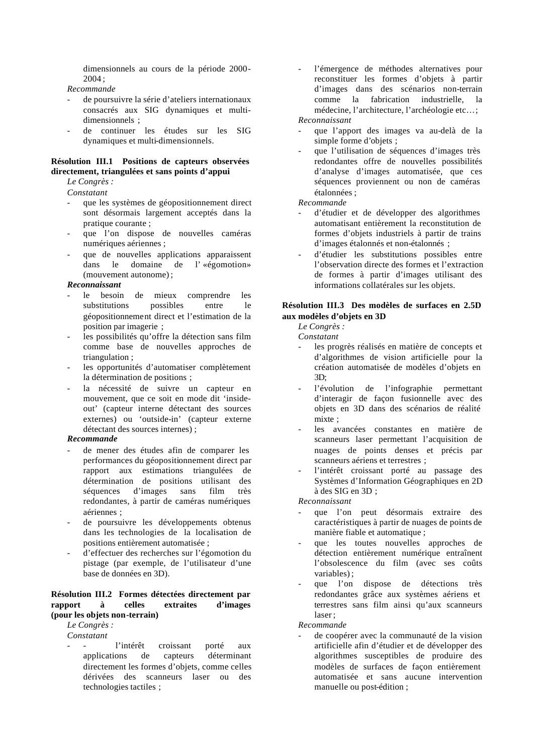dimensionnels au cours de la période 2000-  $2004 \cdot$ 

*Recommande*

- de poursuivre la série d'ateliers internationaux consacrés aux SIG dynamiques et multidimensionnels ;
- de continuer les études sur les SIG dynamiques et multi-dimensionnels.

#### **Résolution III.1 Positions de capteurs observées directement, triangulées et sans points d'appui**

*Le Congrès :* 

*Constatant*

- que les systèmes de géopositionnement direct sont désormais largement acceptés dans la pratique courante ;
- que l'on dispose de nouvelles caméras numériques aériennes ;
- que de nouvelles applications apparaissent dans le domaine de l' «égomotion» (mouvement autonome) ;

#### *Reconnaissant*

- le besoin de mieux comprendre les substitutions possibles entre le géopositionnement direct et l'estimation de la position par imagerie ;
- les possibilités qu'offre la détection sans film comme base de nouvelles approches de triangulation ;
- les opportunités d'automatiser complètement la détermination de positions ;
- la nécessité de suivre un capteur en mouvement, que ce soit en mode dit 'insideout' (capteur interne détectant des sources externes) ou 'outside-in' (capteur externe détectant des sources internes) ;

#### *Recommande*

- de mener des études afin de comparer les performances du géopositionnement direct par rapport aux estimations triangulées de détermination de positions utilisant des séquences d'images sans film très redondantes, à partir de caméras numériques aériennes ;
- de poursuivre les développements obtenus dans les technologies de la localisation de positions entièrement automatisée ;
- d'effectuer des recherches sur l'égomotion du pistage (par exemple, de l'utilisateur d'une base de données en 3D).

#### **Résolution III.2 Formes détectées directement par rapport à celles extraites d'images (pour les objets non-terrain)**

*Le Congrès :* 

*Constatant*

l'intérêt croissant porté aux applications de capteurs déterminant directement les formes d'objets, comme celles dérivées des scanneurs laser ou des technologies tactiles ;

l'émergence de méthodes alternatives pour reconstituer les formes d'objets à partir d'images dans des scénarios non-terrain comme la fabrication industrielle, la médecine, l'architecture, l'archéologie etc…;

*Reconnaissant*

- que l'apport des images va au-delà de la simple forme d'objets ;
- que l'utilisation de séquences d'images très redondantes offre de nouvelles possibilités d'analyse d'images automatisée, que ces séquences proviennent ou non de caméras étalonnées ;

*Recommande*

- d'étudier et de développer des algorithmes automatisant entièrement la reconstitution de formes d'objets industriels à partir de trains d'images étalonnés et non-étalonnés ;
- d'étudier les substitutions possibles entre l'observation directe des formes et l'extraction de formes à partir d'images utilisant des informations collatérales sur les objets.

#### **Résolution III.3 Des modèles de surfaces en 2.5D aux modèles d'objets en 3D**

*Le Congrès :* 

*Constatant*

- les progrès réalisés en matière de concepts et d'algorithmes de vision artificielle pour la création automatisée de modèles d'objets en  $3D<sup>2</sup>$
- l'évolution de l'infographie permettant d'interagir de façon fusionnelle avec des objets en 3D dans des scénarios de réalité mixte ;
- les avancées constantes en matière de scanneurs laser permettant l'acquisition de nuages de points denses et précis par scanneurs aériens et terrestres ;
- l'intérêt croissant porté au passage des Systèmes d'Information Géographiques en 2D à des SIG en 3D ;

*Reconnaissant*

- que l'on peut désormais extraire des caractéristiques à partir de nuages de points de manière fiable et automatique ;
- que les toutes nouvelles approches de détection entièrement numérique entraînent l'obsolescence du film (avec ses coûts variables) ;
- que l'on dispose de détections très redondantes grâce aux systèmes aériens et terrestres sans film ainsi qu'aux scanneurs laser ;

*Recommande*

de coopérer avec la communauté de la vision artificielle afin d'étudier et de développer des algorithmes susceptibles de produire des modèles de surfaces de façon entièrement automatisée et sans aucune intervention manuelle ou post-édition ;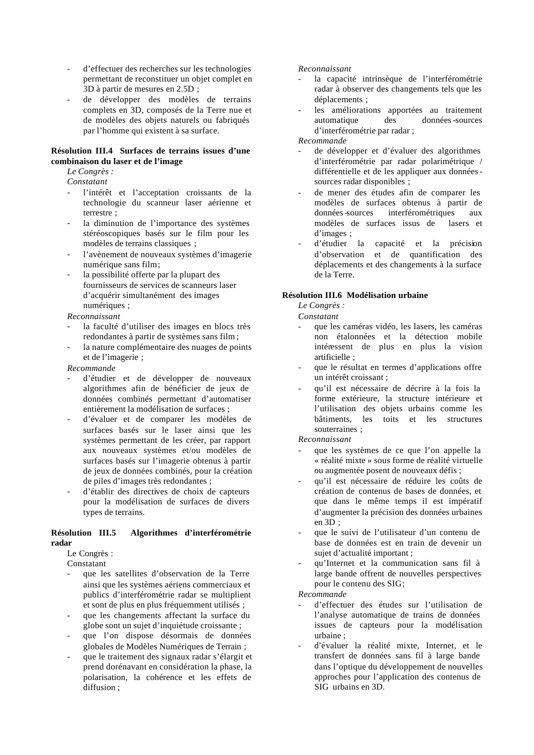- d'effectuer des recherches sur les technologies permettant de reconstituer un objet complet en 3D à partir de mesures en 2.5D ;
- de développer des modèles de terrains complets en 3D, composés de la Terre nue et de modèles des objets naturels ou fabriqués par l'homme qui existent à sa surface.

#### **Résolution III.4 Surfaces de terrains issues d'une combinaison du laser et de l'image**

*Le Congrès :* 

*Constatant*

- l'intérêt et l'acceptation croissants de la technologie du scanneur laser aérienne et terrestre ;
- la diminution de l'importance des systèmes stéréoscopiques basés sur le film pour les modèles de terrains classiques ;
- l'avènement de nouveaux systèmes d'imagerie numérique sans film;
- la possibilité offerte par la plupart des fournisseurs de services de scanneurs laser d'acquérir simultanément des images numériques ;

*Reconnaissant*

- la faculté d'utiliser des images en blocs très redondantes à partir de systèmes sans film ;
- la nature complémentaire des nuages de points et de l'imagerie ;

*Recommande*

- d'étudier et de développer de nouveaux algorithmes afin de bénéficier de jeux de données combinés permettant d'automatiser entièrement la modélisation de surfaces ;
- d'évaluer et de comparer les modèles de surfaces basés sur le laser ainsi que les systèmes permettant de les créer, par rapport aux nouveaux systèmes et/ou modèles de surfaces basés sur l'imagerie obtenus à partir de jeux de données combinés, pour la création de piles d'images très redondantes ;
- d'établir des directives de choix de capteurs pour la modélisation de surfaces de divers types de terrains.

#### **Résolution III.5 Algorithmes d'interférométrie radar**

Le Congrès :

**Constatant** 

- que les satellites d'observation de la Terre ainsi que les systèmes aériens commerciaux et publics d'interférométrie radar se multiplient et sont de plus en plus fréquemment utilisés ;
- que les changements affectant la surface du globe sont un sujet d'inquiétude croissante ;
- que l'on dispose désormais de données globales de Modèles Numériques de Terrain ;
- que le traitement des signaux radar s'élargit et prend dorénavant en considération la phase, la polarisation, la cohérence et les effets de diffusion ;

#### *Reconnaissant*

- la capacité intrinsèque de l'interférométrie radar à observer des changements tels que les déplacements ;
- les améliorations apportées au traitement automatique des données-sources d'interférométrie par radar ;

#### *Recommande*

- de développer et d'évaluer des algorithmes d'interférométrie par radar polarimétrique / différentielle et de les appliquer aux donnéessources radar disponibles ;
- de mener des études afin de comparer les modèles de surfaces obtenus à partir de données-sources interférométriques aux modèles de surfaces issus de lasers et d'images ;
- d'étudier la capacité et la précision d'observation et de quantification des déplacements et des changements à la surface de la Terre.

#### **Résolution III.6 Modélisation urbaine**

*Le Congrès :* 

*Constatant*

- que les caméras vidéo, les lasers, les caméras non étalonnées et la détection mobile intéressent de plus en plus la vision artificielle ;
- que le résultat en termes d'applications offre un intérêt croissant ;
- qu'il est nécessaire de décrire à la fois la forme extérieure, la structure intérieure et l'utilisation des objets urbains comme les bâtiments, les toits et les structures souterraines ;

*Reconnaissant*

- que les systèmes de ce que l'on appelle la « réalité mixte » sous forme de réalité virtuelle ou augmentée posent de nouveaux défis ;
- qu'il est nécessaire de réduire les coûts de création de contenus de bases de données, et que dans le même temps il est impératif d'augmenter la précision des données urbaines en 3D ;
- que le suivi de l'utilisateur d'un contenu de base de données est en train de devenir un sujet d'actualité important ;
- qu'Internet et la communication sans fil à large bande offrent de nouvelles perspectives pour le contenu des SIG;

- d'effectuer des études sur l'utilisation de l'analyse automatique de trains de données issues de capteurs pour la modélisation urbaine ;
- d'évaluer la réalité mixte, Internet, et le transfert de données sans fil à large bande dans l'optique du développement de nouvelles approches pour l'application des contenus de SIG urbains en 3D.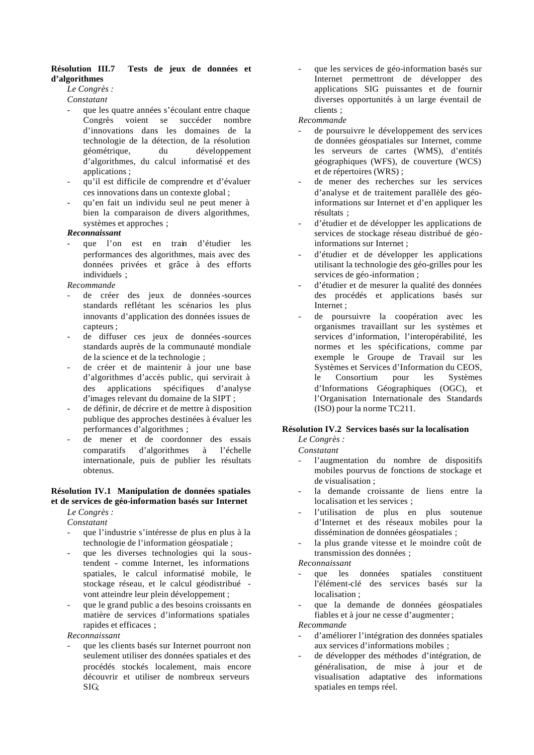#### **Résolution III.7 Tests de jeux de données et d'algorithmes**

#### *Le Congrès :*

*Constatant*

- que les quatre années s'écoulant entre chaque Congrès voient se succéder nombre d'innovations dans les domaines de la technologie de la détection, de la résolution géométrique, du développement d'algorithmes, du calcul informatisé et des applications ;
- qu'il est difficile de comprendre et d'évaluer ces innovations dans un contexte global ;
- qu'en fait un individu seul ne peut mener à bien la comparaison de divers algorithmes, systèmes et approches ;

#### *Reconnaissant*

que l'on est en train d'étudier les performances des algorithmes, mais avec des données privées et grâce à des efforts individuels ;

#### *Recommande*

- de créer des jeux de données-sources standards reflétant les scénarios les plus innovants d'application des données issues de capteurs ;
- de diffuser ces jeux de données-sources standards auprès de la communauté mondiale de la science et de la technologie ;
- de créer et de maintenir à jour une base d'algorithmes d'accès public, qui servirait à des applications spécifiques d'analyse d'images relevant du domaine de la SIPT ;
- de définir, de décrire et de mettre à disposition publique des approches destinées à évaluer les performances d'algorithmes ;
- de mener et de coordonner des essais comparatifs d'algorithmes à l'échelle internationale, puis de publier les résultats obtenus.

#### **Résolution IV.1 Manipulation de données spatiales et de services de géo-information basés sur Internet**

*Le Congrès :* 

*Constatant*

- que l'industrie s'intéresse de plus en plus à la technologie de l'information géospatiale ;
- que les diverses technologies qui la soustendent - comme Internet, les informations spatiales, le calcul informatisé mobile, le stockage réseau, et le calcul géodistribué vont atteindre leur plein développement ;
- que le grand public a des besoins croissants en matière de services d'informations spatiales rapides et efficaces ;

*Reconnaissant*

que les clients basés sur Internet pourront non seulement utiliser des données spatiales et des procédés stockés localement, mais encore découvrir et utiliser de nombreux serveurs SIG;

que les services de géo-information basés sur Internet permettront de développer des applications SIG puissantes et de fournir diverses opportunités à un large éventail de clients ;

#### *Recommande*

- de poursuivre le développement des services de données géospatiales sur Internet, comme les serveurs de cartes (WMS), d'entités géographiques (WFS), de couverture (WCS) et de répertoires (WRS) ;
- de mener des recherches sur les services d'analyse et de traitement parallèle des géoinformations sur Internet et d'en appliquer les résultats ;
- d'étudier et de développer les applications de services de stockage réseau distribué de géoinformations sur Internet ;
- d'étudier et de développer les applications utilisant la technologie des géo-grilles pour les services de géo-information ;
- d'étudier et de mesurer la qualité des données des procédés et applications basés sur Internet ;
- de poursuivre la coopération avec les organismes travaillant sur les systèmes et services d'information, l'interopérabilité, les normes et les spécifications, comme par exemple le Groupe de Travail sur les Systèmes et Services d'Information du CEOS, le Consortium pour les Systèmes d'Informations Géographiques (OGC), et l'Organisation Internationale des Standards (ISO) pour la norme TC211.

#### **Résolution IV.2 Services basés sur la localisation**

*Le Congrès :* 

#### *Constatant*

- l'augmentation du nombre de dispositifs mobiles pourvus de fonctions de stockage et de visualisation ;
- la demande croissante de liens entre la localisation et les services ;
- l'utilisation de plus en plus soutenue d'Internet et des réseaux mobiles pour la dissémination de données géospatiales ;
- la plus grande vitesse et le moindre coût de transmission des données ;

*Reconnaissant*

- que les données spatiales constituent l'élément-clé des services basés sur la localisation ;
- que la demande de données géospatiales fiables et à jour ne cesse d'augmenter ;

- d'améliorer l'intégration des données spatiales aux services d'informations mobiles ;
- de développer des méthodes d'intégration, de généralisation, de mise à jour et de visualisation adaptative des informations spatiales en temps réel.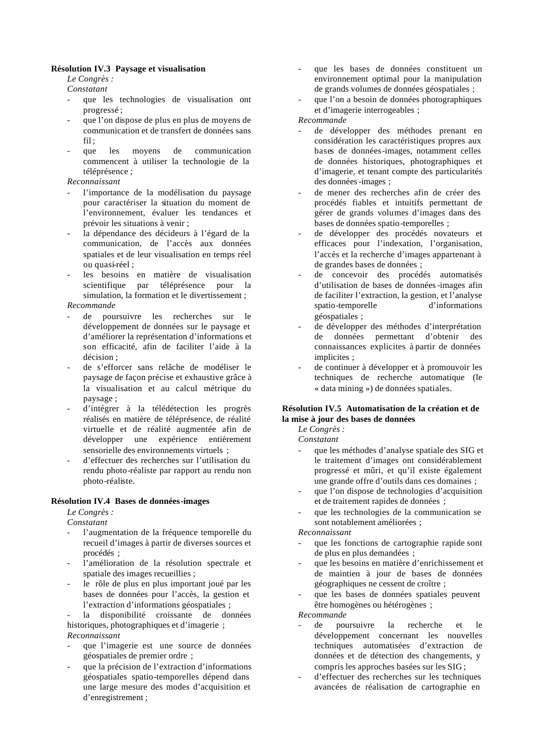#### **Résolution IV.3 Paysage et visualisation**

*Le Congrès :* 

*Constatant*

- que les technologies de visualisation ont progressé ;
- que l'on dispose de plus en plus de moyens de communication et de transfert de données sans  $fi1$ :
- que les moyens de communication commencent à utiliser la technologie de la téléprésence ;

*Reconnaissant*

- l'importance de la modélisation du paysage pour caractériser la situation du moment de l'environnement, évaluer les tendances et prévoir les situations à venir ;
- la dépendance des décideurs à l'égard de la communication, de l'accès aux données spatiales et de leur visualisation en temps réel ou quasi-réel ;
- les besoins en matière de visualisation scientifique par téléprésence pour la simulation, la formation et le divertissement ; *Recommande*

- de poursuivre les recherches sur le développement de données sur le paysage et d'améliorer la représentation d'informations et son efficacité, afin de faciliter l'aide à la décision ;
- de s'efforcer sans relâche de modéliser le paysage de façon précise et exhaustive grâce à la visualisation et au calcul métrique du paysage ;
- d'intégrer à la télédétection les progrès réalisés en matière de téléprésence, de réalité virtuelle et de réalité augmentée afin de développer une expérience entièrement sensorielle des environnements virtuels ;
- d'effectuer des recherches sur l'utilisation du rendu photo-réaliste par rapport au rendu non photo-réaliste.

#### **Résolution IV.4 Bases de données-images**

*Le Congrès : Constatant*

- l'augmentation de la fréquence temporelle du recueil d'images à partir de diverses sources et procédés ;
- l'amélioration de la résolution spectrale et spatiale des images recueillies ;
- le rôle de plus en plus important joué par les bases de données pour l'accès, la gestion et l'extraction d'informations géospatiales ;

la disponibilité croissante de données historiques, photographiques et d'imagerie ; *Reconnaissant*

- que l'imagerie est une source de données géospatiales de premier ordre ;
- que la précision de l'extraction d'informations géospatiales spatio-temporelles dépend dans une large mesure des modes d'acquisition et d'enregistrement ;
- que les bases de données constituent un environnement optimal pour la manipulation de grands volumes de données géospatiales ;
- que l'on a besoin de données photographiques et d'imagerie interrogeables ;

#### *Recommande*

- de développer des méthodes prenant en considération les caractéristiques propres aux bases de données-images, notamment celles de données historiques, photographiques et d'imagerie, et tenant compte des particularités des données-images ;
- de mener des recherches afin de créer des procédés fiables et intuitifs permettant de gérer de grands volumes d'images dans des bases de données spatio-temporelles ;
- de développer des procédés novateurs et efficaces pour l'indexation, l'organisation, l'accès et la recherche d'images appartenant à de grandes bases de données ;
- de concevoir des procédés automatisés d'utilisation de bases de données-images afin de faciliter l'extraction, la gestion, et l'analyse spatio-temporelle d'informations géospatiales ;
- de développer des méthodes d'interprétation de données permettant d'obtenir des connaissances explicites à partir de données implicites ;
- de continuer à développer et à promouvoir les techniques de recherche automatique (le « data mining ») de données spatiales.

#### **Résolution IV.5 Automatisation de la création et de la mise à jour des bases de données**

*Le Congrès :* 

*Constatant*

- que les méthodes d'analyse spatiale des SIG et le traitement d'images ont considérablement progressé et mûri, et qu'il existe également une grande offre d'outils dans ces domaines ;
- que l'on dispose de technologies d'acquisition et de traitement rapides de données ;
- que les technologies de la communication se sont notablement améliorées ;

*Reconnaissant*

- que les fonctions de cartographie rapide sont de plus en plus demandées ;
- que les besoins en matière d'enrichissement et de maintien à jour de bases de données géographiques ne cessent de croître ;
- que les bases de données spatiales peuvent être homogènes ou hétérogènes ;

- de poursuivre la recherche et le développement concernant les nouvelles techniques automatisées d'extraction de données et de détection des changements, y compris les approches basées sur les SIG ;
- d'effectuer des recherches sur les techniques avancées de réalisation de cartographie en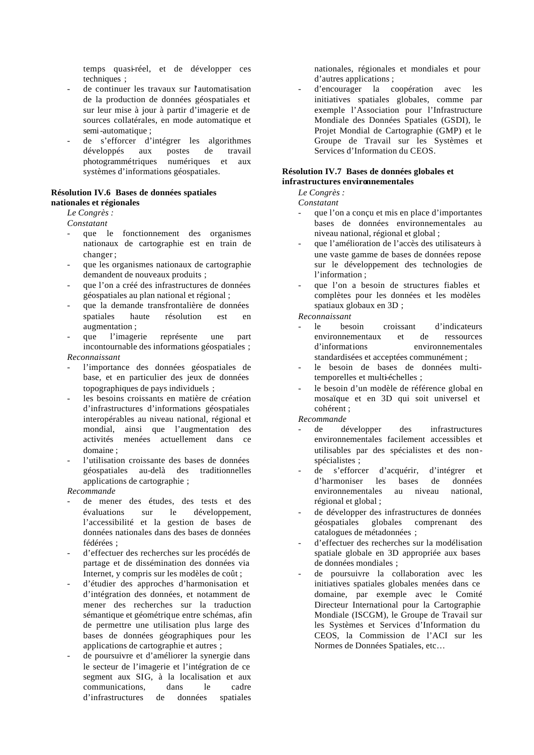temps quasi-réel, et de développer ces techniques ;

- de continuer les travaux sur l'automatisation de la production de données géospatiales et sur leur mise à jour à partir d'imagerie et de sources collatérales, en mode automatique et semi-automatique ;
- de s'efforcer d'intégrer les algorithmes développés aux postes de travail photogrammétriques numériques et aux systèmes d'informations géospatiales.

#### **Résolution IV.6 Bases de données spatiales nationales et régionales**

#### *Le Congrès :*

*Constatant*

- que le fonctionnement des organismes nationaux de cartographie est en train de changer ;
- que les organismes nationaux de cartographie demandent de nouveaux produits ;
- que l'on a créé des infrastructures de données géospatiales au plan national et régional ;
- que la demande transfrontalière de données spatiales haute résolution est en augmentation ;
- que l'imagerie représente une part incontournable des informations géospatiales ;

#### *Reconnaissant*

- l'importance des données géospatiales de base, et en particulier des jeux de données topographiques de pays individuels ;
- les besoins croissants en matière de création d'infrastructures d'informations géospatiales interopérables au niveau national, régional et mondial, ainsi que l'augmentation des activités menées actuellement dans ce domaine ;
- l'utilisation croissante des bases de données géospatiales au-delà des traditionnelles applications de cartographie ;

#### *Recommande*

- de mener des études, des tests et des évaluations sur le développement, l'accessibilité et la gestion de bases de données nationales dans des bases de données fédérées ;
- d'effectuer des recherches sur les procédés de partage et de dissémination des données via Internet, y compris sur les modèles de coût ;
- d'étudier des approches d'harmonisation et d'intégration des données, et notamment de mener des recherches sur la traduction sémantique et géométrique entre schémas, afin de permettre une utilisation plus large des bases de données géographiques pour les applications de cartographie et autres ;
- de poursuivre et d'améliorer la synergie dans le secteur de l'imagerie et l'intégration de ce segment aux SIG, à la localisation et aux communications, dans le cadre d'infrastructures de données spatiales

nationales, régionales et mondiales et pour d'autres applications ;

d'encourager la coopération avec les initiatives spatiales globales, comme par exemple l'Association pour l'Infrastructure Mondiale des Données Spatiales (GSDI), le Projet Mondial de Cartographie (GMP) et le Groupe de Travail sur les Systèmes et Services d'Information du CEOS.

#### **Résolution IV.7 Bases de données globales et infrastructures environnementales**

*Le Congrès :* 

*Constatant*

- que l'on a conçu et mis en place d'importantes bases de données environnementales au niveau national, régional et global ;
- que l'amélioration de l'accès des utilisateurs à une vaste gamme de bases de données repose sur le développement des technologies de l'information ;
- que l'on a besoin de structures fiables et complètes pour les données et les modèles spatiaux globaux en 3D ;

*Reconnaissant*

- le besoin croissant d'indicateurs environnementaux et de ressources d'informations environnementales standardisées et acceptées communément ;
- le besoin de bases de données multitemporelles et multi-échelles ;
- le besoin d'un modèle de référence global en mosaïque et en 3D qui soit universel et cohérent ;

- de développer des infrastructures environnementales facilement accessibles et utilisables par des spécialistes et des nonspécialistes ;
- de s'efforcer d'acquérir, d'intégrer et d'harmoniser les bases de données environnementales au niveau national, régional et global ;
- de développer des infrastructures de données géospatiales globales comprenant des catalogues de métadonnées ;
- d'effectuer des recherches sur la modélisation spatiale globale en 3D appropriée aux bases de données mondiales ;
- de poursuivre la collaboration avec les initiatives spatiales globales menées dans ce domaine, par exemple avec le Comité Directeur International pour la Cartographie Mondiale (ISCGM), le Groupe de Travail sur les Systèmes et Services d'Information du CEOS, la Commission de l'ACI sur les Normes de Données Spatiales, etc…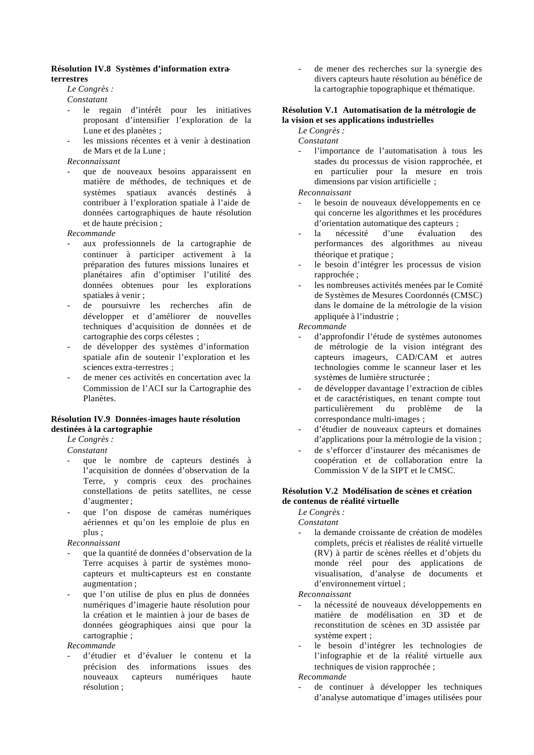#### **Résolution IV.8 Systèmes d'information extraterrestres**

#### *Le Congrès :*

*Constatant*

- le regain d'intérêt pour les initiatives proposant d'intensifier l'exploration de la Lune et des planètes ;
- les missions récentes et à venir à destination de Mars et de la Lune ;

#### *Reconnaissant*

que de nouveaux besoins apparaissent en matière de méthodes, de techniques et de systèmes spatiaux avancés destinés à contribuer à l'exploration spatiale à l'aide de données cartographiques de haute résolution et de haute précision ;

#### *Recommande*

- aux professionnels de la cartographie de continuer à participer activement à la préparation des futures missions lunaires et planétaires afin d'optimiser l'utilité des données obtenues pour les explorations spatiales à venir ;
- de poursuivre les recherches afin de développer et d'améliorer de nouvelles techniques d'acquisition de données et de cartographie des corps célestes ;
- de développer des systèmes d'information spatiale afin de soutenir l'exploration et les sciences extra-terrestres ;
- de mener ces activités en concertation avec la Commission de l'ACI sur la Cartographie des Planètes.

#### **Résolution IV.9 Données-images haute résolution destinées à la cartographie**

*Le Congrès :* 

*Constatant*

- que le nombre de capteurs destinés à l'acquisition de données d'observation de la Terre, y compris ceux des prochaines constellations de petits satellites, ne cesse d'augmenter ;
- que l'on dispose de caméras numériques aériennes et qu'on les emploie de plus en plus ;

*Reconnaissant*

- que la quantité de données d'observation de la Terre acquises à partir de systèmes monocapteurs et multi-capteurs est en constante augmentation ;
- que l'on utilise de plus en plus de données numériques d'imagerie haute résolution pour la création et le maintien à jour de bases de données géographiques ainsi que pour la cartographie ;

#### *Recommande*

- d'étudier et d'évaluer le contenu et la précision des informations issues des nouveaux capteurs numériques haute résolution ;

de mener des recherches sur la synergie des divers capteurs haute résolution au bénéfice de la cartographie topographique et thématique.

#### **Résolution V.1 Automatisation de la métrologie de la vision et ses applications industrielles**

#### *Le Congrès :*

*Constatant*

l'importance de l'automatisation à tous les stades du processus de vision rapprochée, et en particulier pour la mesure en trois dimensions par vision artificielle ;

#### *Reconnaissant*

- le besoin de nouveaux développements en ce qui concerne les algorithmes et les procédures d'orientation automatique des capteurs ;
- la nécessité d'une évaluation des performances des algorithmes au niveau théorique et pratique ;
- le besoin d'intégrer les processus de vision rapprochée ;
- les nombreuses activités menées par le Comité de Systèmes de Mesures Coordonnés (CMSC) dans le domaine de la métrologie de la vision appliquée à l'industrie ;

#### *Recommande*

- d'approfondir l'étude de systèmes autonomes de métrologie de la vision intégrant des capteurs imageurs, CAD/CAM et autres technologies comme le scanneur laser et les systèmes de lumière structurée ;
- de développer davantage l'extraction de cibles et de caractéristiques, en tenant compte tout particulièrement du problème de la correspondance multi-images ;
- d'étudier de nouveaux capteurs et domaines d'applications pour la métrologie de la vision ;
- de s'efforcer d'instaurer des mécanismes de coopération et de collaboration entre la Commission V de la SIPT et le CMSC.

#### **Résolution V.2 Modélisation de scènes et création de contenus de réalité virtuelle**

*Le Congrès :* 

*Constatant*

la demande croissante de création de modèles complets, précis et réalistes de réalité virtuelle (RV) à partir de scènes réelles et d'objets du monde réel pour des applications de visualisation, d'analyse de documents et d'environnement virtuel ;

*Reconnaissant*

- la nécessité de nouveaux développements en matière de modélisation en 3D et de reconstitution de scènes en 3D assistée par système expert ;
- le besoin d'intégrer les technologies de l'infographie et de la réalité virtuelle aux techniques de vision rapprochée ;

#### *Recommande*

de continuer à développer les techniques d'analyse automatique d'images utilisées pour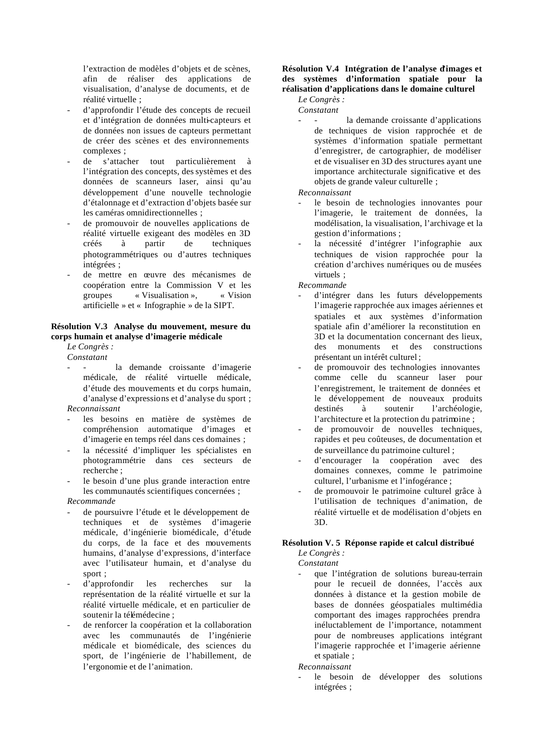l'extraction de modèles d'objets et de scènes, afin de réaliser des applications de visualisation, d'analyse de documents, et de réalité virtuelle ;

- d'approfondir l'étude des concepts de recueil et d'intégration de données multi-capteurs et de données non issues de capteurs permettant de créer des scènes et des environnements complexes ;
- de s'attacher tout particulièrement à l'intégration des concepts, des systèmes et des données de scanneurs laser, ainsi qu'au développement d'une nouvelle technologie d'étalonnage et d'extraction d'objets basée sur les caméras omnidirectionnelles ;
- de promouvoir de nouvelles applications de réalité virtuelle exigeant des modèles en 3D créés à partir de techniques photogrammétriques ou d'autres techniques intégrées ;
- de mettre en œuvre des mécanismes de coopération entre la Commission V et les groupes « Visualisation », « Vision artificielle » et « Infographie » de la SIPT.

#### **Résolution V.3 Analyse du mouvement, mesure du corps humain et analyse d'imagerie médicale**

*Le Congrès : Constatant*

- la demande croissante d'imagerie médicale, de réalité virtuelle médicale, d'étude des mouvements et du corps humain, d'analyse d'expressions et d'analyse du sport ; *Reconnaissant*
- les besoins en matière de systèmes de compréhension automatique d'images et d'imagerie en temps réel dans ces domaines ;
- la nécessité d'impliquer les spécialistes en photogrammétrie dans ces secteurs de recherche ;
- le besoin d'une plus grande interaction entre les communautés scientifiques concernées ;

#### *Recommande*

- de poursuivre l'étude et le développement de techniques et de systèmes d'imagerie médicale, d'ingénierie biomédicale, d'étude du corps, de la face et des mouvements humains, d'analyse d'expressions, d'interface avec l'utilisateur humain, et d'analyse du sport ;
- d'approfondir les recherches sur la représentation de la réalité virtuelle et sur la réalité virtuelle médicale, et en particulier de soutenir la télémédecine ;
- de renforcer la coopération et la collaboration avec les communautés de l'ingénierie médicale et biomédicale, des sciences du sport, de l'ingénierie de l'habillement, de l'ergonomie et de l'animation.

#### **Résolution V.4 Intégration de l'analyse d'images et des systèmes d'information spatiale pour la réalisation d'applications dans le domaine culturel**

*Le Congrès :* 

- *Constatant*
	- la demande croissante d'applications de techniques de vision rapprochée et de systèmes d'information spatiale permettant d'enregistrer, de cartographier, de modéliser et de visualiser en 3D des structures ayant une importance architecturale significative et des objets de grande valeur culturelle ;

#### *Reconnaissant*

- le besoin de technologies innovantes pour l'imagerie, le traitement de données, la modélisation, la visualisation, l'archivage et la gestion d'informations ;
- la nécessité d'intégrer l'infographie aux techniques de vision rapprochée pour la création d'archives numériques ou de musées virtuels ;

*Recommande*

- d'intégrer dans les futurs développements l'imagerie rapprochée aux images aériennes et spatiales et aux systèmes d'information spatiale afin d'améliorer la reconstitution en 3D et la documentation concernant des lieux, des monuments et des constructions présentant un intérêt culturel ;
- de promouvoir des technologies innovantes comme celle du scanneur laser pour l'enregistrement, le traitement de données et le développement de nouveaux produits destinés à soutenir l'archéologie, l'architecture et la protection du patrimoine ;
- de promouvoir de nouvelles techniques, rapides et peu coûteuses, de documentation et de surveillance du patrimoine culturel ;
- d'encourager la coopération avec des domaines connexes, comme le patrimoine culturel, l'urbanisme et l'infogérance ;
- de promouvoir le patrimoine culturel grâce à l'utilisation de techniques d'animation, de réalité virtuelle et de modélisation d'objets en 3D.

#### **Résolution V. 5 Réponse rapide et calcul distribué**

*Le Congrès : Constatant*

que l'intégration de solutions bureau-terrain pour le recueil de données, l'accès aux données à distance et la gestion mobile de bases de données géospatiales multimédia comportant des images rapprochées prendra inéluctablement de l'importance, notamment pour de nombreuses applications intégrant l'imagerie rapprochée et l'imagerie aérienne et spatiale ;

*Reconnaissant*

le besoin de développer des solutions intégrées ;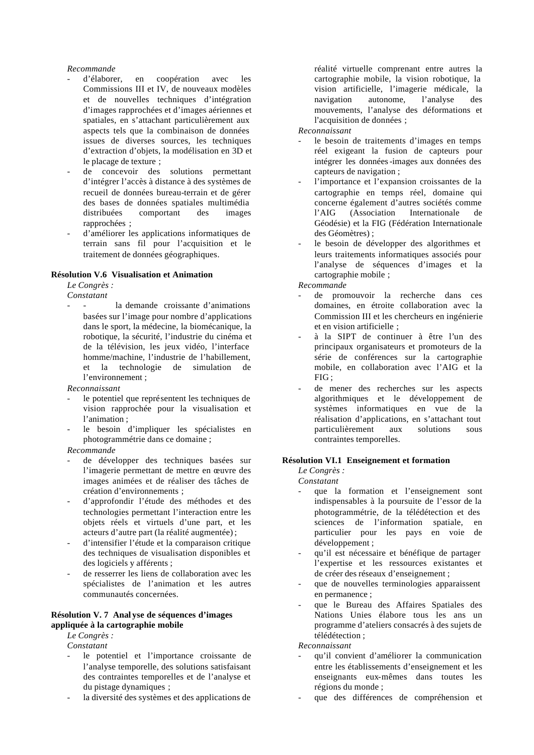- *Recommande*<br>- d'élaborer, en coopération avec les Commissions III et IV, de nouveaux modèles et de nouvelles techniques d'intégration d'images rapprochées et d'images aériennes et spatiales, en s'attachant particulièrement aux aspects tels que la combinaison de données issues de diverses sources, les techniques d'extraction d'objets, la modélisation en 3D et le placage de texture ;
- de concevoir des solutions permettant d'intégrer l'accès à distance à des systèmes de recueil de données bureau-terrain et de gérer des bases de données spatiales multimédia distribuées comportant des images rapprochées ;
- d'améliorer les applications informatiques de terrain sans fil pour l'acquisition et le traitement de données géographiques.

#### **Résolution V.6 Visualisation et Animation**

*Le Congrès :* 

*Constatant*

la demande croissante d'animations basées sur l'image pour nombre d'applications dans le sport, la médecine, la biomécanique, la robotique, la sécurité, l'industrie du cinéma et de la télévision, les jeux vidéo, l'interface homme/machine, l'industrie de l'habillement, et la technologie de simulation de l'environnement ;

*Reconnaissant*

- le potentiel que représentent les techniques de vision rapprochée pour la visualisation et l'animation ;
- le besoin d'impliquer les spécialistes en photogrammétrie dans ce domaine ;

#### *Recommande*

- de développer des techniques basées sur l'imagerie permettant de mettre en œuvre des images animées et de réaliser des tâches de création d'environnements ;
- d'approfondir l'étude des méthodes et des technologies permettant l'interaction entre les objets réels et virtuels d'une part, et les acteurs d'autre part (la réalité augmentée) ;
- d'intensifier l'étude et la comparaison critique des techniques de visualisation disponibles et des logiciels y afférents ;
- de resserrer les liens de collaboration avec les spécialistes de l'animation et les autres communautés concernées.

#### **Résolution V. 7 Anal yse de séquences d'images appliquée à la cartographie mobile**

*Le Congrès :* 

*Constatant*

- le potentiel et l'importance croissante de l'analyse temporelle, des solutions satisfaisant des contraintes temporelles et de l'analyse et du pistage dynamiques ;
- la diversité des systèmes et des applications de

réalité virtuelle comprenant entre autres la cartographie mobile, la vision robotique, la vision artificielle, l'imagerie médicale, la navigation autonome, l'analyse des mouvements, l'analyse des déformations et l'acquisition de données ;

#### *Reconnaissant*

- le besoin de traitements d'images en temps réel exigeant la fusion de capteurs pour intégrer les données-images aux données des capteurs de navigation ;
- l'importance et l'expansion croissantes de la cartographie en temps réel, domaine qui concerne également d'autres sociétés comme<br>l'AIG (Association Internationale de l'AIG (Association Internationale de Géodésie) et la FIG (Fédération Internationale des Géomètres) ;
- le besoin de développer des algorithmes et leurs traitements informatiques associés pour l'analyse de séquences d'images et la cartographie mobile ;

*Recommande*

- de promouvoir la recherche dans ces domaines, en étroite collaboration avec la Commission III et les chercheurs en ingénierie et en vision artificielle ;
- à la SIPT de continuer à être l'un des principaux organisateurs et promoteurs de la série de conférences sur la cartographie mobile, en collaboration avec l'AIG et la FIG ;
- de mener des recherches sur les aspects algorithmiques et le développement de systèmes informatiques en vue de la réalisation d'applications, en s'attachant tout particulièrement aux solutions sous contraintes temporelles.

#### **Résolution VI.1 Enseignement et formation**

*Le Congrès :* 

- *Constatant*
- que la formation et l'enseignement sont indispensables à la poursuite de l'essor de la photogrammétrie, de la télédétection et des sciences de l'information spatiale, en particulier pour les pays en voie de développement ;
- qu'il est nécessaire et bénéfique de partager l'expertise et les ressources existantes et de créer des réseaux d'enseignement ;
- que de nouvelles terminologies apparaissent en permanence ;
- que le Bureau des Affaires Spatiales des Nations Unies élabore tous les ans un programme d'ateliers consacrés à des sujets de télédétection ;

*Reconnaissant*

- qu'il convient d'améliorer la communication entre les établissements d'enseignement et les enseignants eux-mêmes dans toutes les régions du monde ;
- que des différences de compréhension et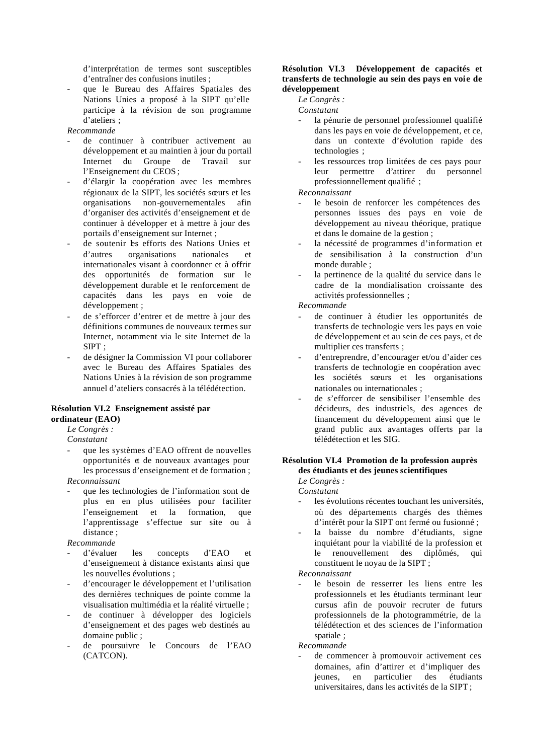d'interprétation de termes sont susceptibles d'entraîner des confusions inutiles ;

- que le Bureau des Affaires Spatiales des Nations Unies a proposé à la SIPT qu'elle participe à la révision de son programme d'ateliers ;
- *Recommande*
- de continuer à contribuer activement au développement et au maintien à jour du portail Internet du Groupe de Travail sur l'Enseignement du CEOS ;
- d'élargir la coopération avec les membres régionaux de la SIPT, les sociétés sœurs et les organisations non-gouvernementales afin d'organiser des activités d'enseignement et de continuer à développer et à mettre à jour des portails d'enseignement sur Internet ;
- de soutenir les efforts des Nations Unies et d'autres organisations nationales et internationales visant à coordonner et à offrir des opportunités de formation sur le développement durable et le renforcement de capacités dans les pays en voie de développement ;
- de s'efforcer d'entrer et de mettre à jour des définitions communes de nouveaux termes sur Internet, notamment via le site Internet de la  $SIPT$ .
- de désigner la Commission VI pour collaborer avec le Bureau des Affaires Spatiales des Nations Unies à la révision de son programme annuel d'ateliers consacrés à la télédétection.

#### **Résolution VI.2 Enseignement assisté par ordinateur (EAO)**

*Le Congrès :* 

*Constatant*

que les systèmes d'EAO offrent de nouvelles opportunités et de nouveaux avantages pour les processus d'enseignement et de formation ;

*Reconnaissant* 

que les technologies de l'information sont de plus en en plus utilisées pour faciliter l'enseignement et la formation, que l'apprentissage s'effectue sur site ou à distance ;

*Recommande*

- d'évaluer les concepts d'EAO et d'enseignement à distance existants ainsi que les nouvelles évolutions ;
- d'encourager le développement et l'utilisation des dernières techniques de pointe comme la visualisation multimédia et la réalité virtuelle ;
- de continuer à développer des logiciels d'enseignement et des pages web destinés au domaine public ;
- de poursuivre le Concours de l'EAO (CATCON).

#### **Résolution VI.3 Développement de capacités et transferts de technologie au sein des pays en voie de développement**

*Le Congrès :* 

*Constatant*

- la pénurie de personnel professionnel qualifié dans les pays en voie de développement, et ce, dans un contexte d'évolution rapide des technologies ;
- les ressources trop limitées de ces pays pour leur permettre d'attirer du personnel professionnellement qualifié ;

*Reconnaissant*

- le besoin de renforcer les compétences des personnes issues des pays en voie de développement au niveau théorique, pratique et dans le domaine de la gestion ;
- la nécessité de programmes d'information et de sensibilisation à la construction d'un monde durable ;
- la pertinence de la qualité du service dans le cadre de la mondialisation croissante des activités professionnelles ;

*Recommande*

- de continuer à étudier les opportunités de transferts de technologie vers les pays en voie de développement et au sein de ces pays, et de multiplier ces transferts ;
- d'entreprendre, d'encourager et/ou d'aider ces transferts de technologie en coopération avec les sociétés sœurs et les organisations nationales ou internationales ;
- de s'efforcer de sensibiliser l'ensemble des décideurs, des industriels, des agences de financement du développement ainsi que le grand public aux avantages offerts par la télédétection et les SIG.

#### **Résolution VI.4 Promotion de la profession auprès des étudiants et des jeunes scientifiques**

*Le Congrès : Constatant*

- les évolutions récentes touchant les universités. où des départements chargés des thèmes d'intérêt pour la SIPT ont fermé ou fusionné ;
- la baisse du nombre d'étudiants, signe inquiétant pour la viabilité de la profession et le renouvellement des diplômés, qui constituent le noyau de la SIPT ;

*Reconnaissant*

le besoin de resserrer les liens entre les professionnels et les étudiants terminant leur cursus afin de pouvoir recruter de futurs professionnels de la photogrammétrie, de la télédétection et des sciences de l'information spatiale ;

*Recommande*

de commencer à promouvoir activement ces domaines, afin d'attirer et d'impliquer des jeunes, en particulier des étudiants universitaires, dans les activités de la SIPT ;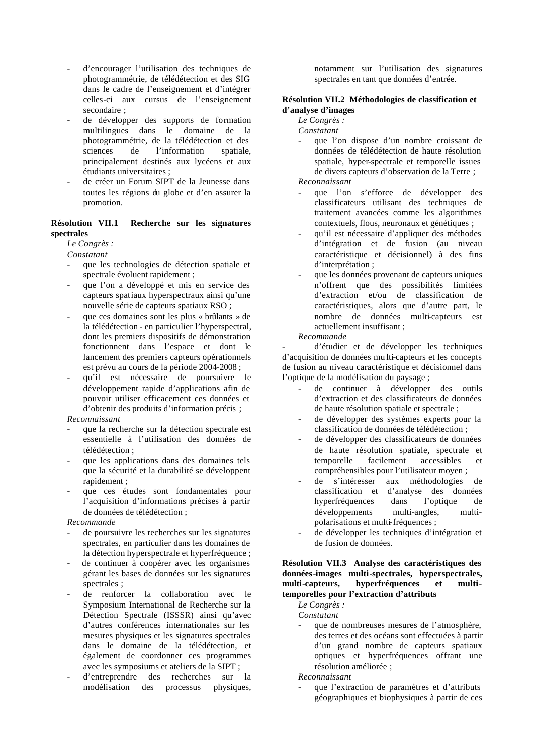- d'encourager l'utilisation des techniques de photogrammétrie, de télédétection et des SIG dans le cadre de l'enseignement et d'intégrer celles-ci aux cursus de l'enseignement secondaire ;
- de développer des supports de formation multilingues dans le domaine de la photogrammétrie, de la télédétection et des sciences de l'information spatiale, principalement destinés aux lycéens et aux étudiants universitaires ;
- de créer un Forum SIPT de la Jeunesse dans toutes les régions du globe et d'en assurer la promotion.

#### **Résolution VII.1 Recherche sur les signatures spectrales**

#### *Le Congrès :*

*Constatant*

- que les technologies de détection spatiale et spectrale évoluent rapidement ;
- que l'on a développé et mis en service des capteurs spatiaux hyperspectraux ainsi qu'une nouvelle série de capteurs spatiaux RSO ;
- que ces domaines sont les plus « brûlants » de la télédétection - en particulier l'hyperspectral, dont les premiers dispositifs de démonstration fonctionnent dans l'espace et dont le lancement des premiers capteurs opérationnels est prévu au cours de la période 2004-2008 ;
- qu'il est nécessaire de poursuivre le développement rapide d'applications afin de pouvoir utiliser efficacement ces données et d'obtenir des produits d'information précis ;

#### *Reconnaissant*

- que la recherche sur la détection spectrale est essentielle à l'utilisation des données de télédétection ;
- que les applications dans des domaines tels que la sécurité et la durabilité se développent rapidement ;
- que ces études sont fondamentales pour l'acquisition d'informations précises à partir de données de télédétection ;

#### *Recommande*

- de poursuivre les recherches sur les signatures spectrales, en particulier dans les domaines de la détection hyperspectrale et hyperfréquence ;
- de continuer à coopérer avec les organismes gérant les bases de données sur les signatures spectrales ;
- de renforcer la collaboration avec le Symposium International de Recherche sur la Détection Spectrale (ISSSR) ainsi qu'avec d'autres conférences internationales sur les mesures physiques et les signatures spectrales dans le domaine de la télédétection, et également de coordonner ces programmes avec les symposiums et ateliers de la SIPT ;
- d'entreprendre des recherches sur la modélisation des processus physiques,

notamment sur l'utilisation des signatures spectrales en tant que données d'entrée.

#### **Résolution VII.2 Méthodologies de classification et d'analyse d'images**

#### *Le Congrès :*

*Constatant*

- que l'on dispose d'un nombre croissant de données de télédétection de haute résolution spatiale, hyper-spectrale et temporelle issues de divers capteurs d'observation de la Terre ; *Reconnaissant*

- que l'on s'efforce de développer des classificateurs utilisant des techniques de traitement avancées comme les algorithmes contextuels, flous, neuronaux et génétiques ;
- qu'il est nécessaire d'appliquer des méthodes d'intégration et de fusion (au niveau caractéristique et décisionnel) à des fins d'interprétation ;
- que les données provenant de capteurs uniques n'offrent que des possibilités limitées d'extraction et/ou de classification de caractéristiques, alors que d'autre part, le nombre de données multi-capteurs est actuellement insuffisant ;

#### *Recommande*

d'étudier et de développer les techniques d'acquisition de données mu lti-capteurs et les concepts de fusion au niveau caractéristique et décisionnel dans l'optique de la modélisation du paysage ;

- de continuer à développer des outils d'extraction et des classificateurs de données de haute résolution spatiale et spectrale ;
- de développer des systèmes experts pour la classification de données de télédétection ;
- de développer des classificateurs de données de haute résolution spatiale, spectrale et temporelle facilement accessibles et compréhensibles pour l'utilisateur moyen ;
- de s'intéresser aux méthodologies de classification et d'analyse des données hyperfréquences dans l'optique de développements multi-angles, multipolarisations et multi-fréquences ;
- de développer les techniques d'intégration et de fusion de données.

#### **Résolution VII.3 Analyse des caractéristiques des données-images multi-spectrales, hyperspectrales, multi-capteurs, hyperfréquences et multitemporelles pour l'extraction d'attributs**

*Le Congrès :* 

*Constatant*

que de nombreuses mesures de l'atmosphère, des terres et des océans sont effectuées à partir d'un grand nombre de capteurs spatiaux optiques et hyperfréquences offrant une résolution améliorée ;

*Reconnaissant*

- que l'extraction de paramètres et d'attributs géographiques et biophysiques à partir de ces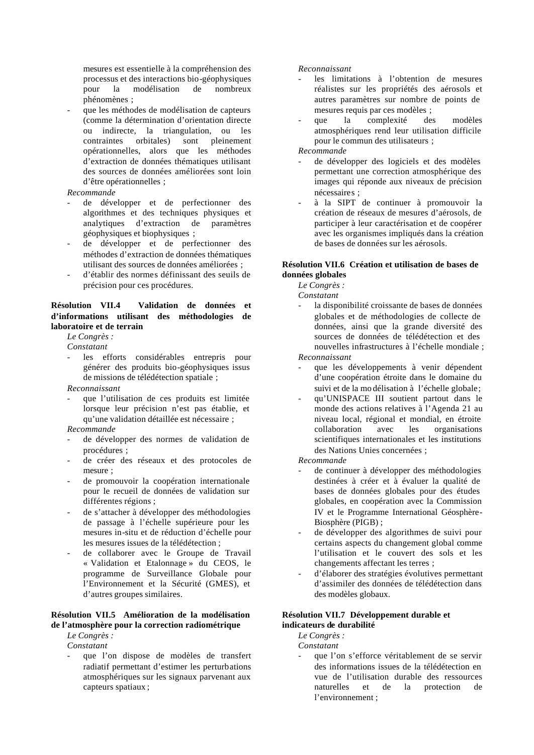mesures est essentielle à la compréhension des processus et des interactions bio-géophysiques pour la modélisation de nombreux phénomènes ;

que les méthodes de modélisation de capteurs (comme la détermination d'orientation directe ou indirecte, la triangulation, ou les contraintes orbitales) sont pleinement opérationnelles, alors que les méthodes d'extraction de données thématiques utilisant des sources de données améliorées sont loin d'être opérationnelles ;

#### *Recommande*

- de développer et de perfectionner des algorithmes et des techniques physiques et analytiques d'extraction de paramètres géophysiques et biophysiques ;
- de développer et de perfectionner des méthodes d'extraction de données thématiques utilisant des sources de données améliorées ;
- d'établir des normes définissant des seuils de précision pour ces procédures.

#### **Résolution VII.4 Validation de données et d'informations utilisant des méthodologies de laboratoire et de terrain**

*Le Congrès :* 

*Constatant*

les efforts considérables entrepris pour générer des produits bio-géophysiques issus de missions de télédétection spatiale ;

*Reconnaissant*

que l'utilisation de ces produits est limitée lorsque leur précision n'est pas établie, et qu'une validation détaillée est nécessaire ;

#### *Recommande*

- de développer des normes de validation de procédures ;
- de créer des réseaux et des protocoles de mesure :
- de promouvoir la coopération internationale pour le recueil de données de validation sur différentes régions ;
- de s'attacher à développer des méthodologies de passage à l'échelle supérieure pour les mesures in-situ et de réduction d'échelle pour les mesures issues de la télédétection ;
- de collaborer avec le Groupe de Travail « Validation et Etalonnage » du CEOS, le programme de Surveillance Globale pour l'Environnement et la Sécurité (GMES), et d'autres groupes similaires.

#### **Résolution VII.5 Amélioration de la modélisation de l'atmosphère pour la correction radiométrique**

*Le Congrès :* 

- *Constatant*
- que l'on dispose de modèles de transfert radiatif permettant d'estimer les perturbations atmosphériques sur les signaux parvenant aux capteurs spatiaux ;

#### *Reconnaissant*

- les limitations à l'obtention de mesures réalistes sur les propriétés des aérosols et autres paramètres sur nombre de points de mesures requis par ces modèles ;
- que la complexité des modèles atmosphériques rend leur utilisation difficile pour le commun des utilisateurs ;

*Recommande*

- de développer des logiciels et des modèles permettant une correction atmosphérique des images qui réponde aux niveaux de précision nécessaires ;
- à la SIPT de continuer à promouvoir la création de réseaux de mesures d'aérosols, de participer à leur caractérisation et de coopérer avec les organismes impliqués dans la création de bases de données sur les aérosols.

#### **Résolution VII.6 Création et utilisation de bases de données globales**

*Le Congrès :* 

*Constatant*

la disponibilité croissante de bases de données globales et de méthodologies de collecte de données, ainsi que la grande diversité des sources de données de télédétection et des nouvelles infrastructures à l'échelle mondiale ;

*Reconnaissant*

- que les développements à venir dépendent d'une coopération étroite dans le domaine du suivi et de la mo délisation à l'échelle globale;
- qu'UNISPACE III soutient partout dans le monde des actions relatives à l'Agenda 21 au niveau local, régional et mondial, en étroite collaboration avec les organisations scientifiques internationales et les institutions des Nations Unies concernées ;

*Recommande*

- de continuer à développer des méthodologies destinées à créer et à évaluer la qualité de bases de données globales pour des études globales, en coopération avec la Commission IV et le Programme International Géosphère-Biosphère (PIGB) ;
- de développer des algorithmes de suivi pour certains aspects du changement global comme l'utilisation et le couvert des sols et les changements affectant les terres ;
- d'élaborer des stratégies évolutives permettant d'assimiler des données de télédétection dans des modèles globaux.

#### **Résolution VII.7 Développement durable et indicateurs de durabilité**

*Le Congrès :* 

*Constatant*

que l'on s'efforce véritablement de se servir des informations issues de la télédétection en vue de l'utilisation durable des ressources naturelles et de la protection de l'environnement ;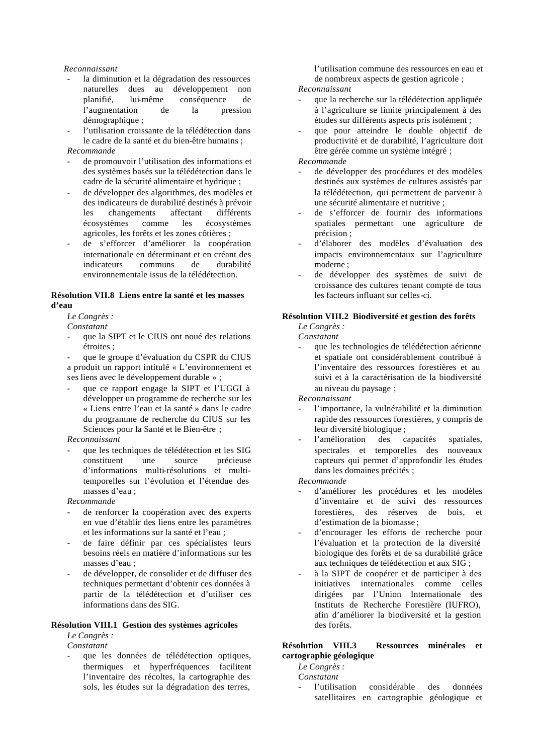#### *Reconnaissant*

- la diminution et la dégradation des ressources naturelles dues au développement non planifié, lui-même conséquence de l'augmentation de la pression démographique ;
- l'utilisation croissante de la télédétection dans le cadre de la santé et du bien-être humains ;

#### *Recommande*

- de promouvoir l'utilisation des informations et des systèmes basés sur la télédétection dans le cadre de la sécurité alimentaire et hydrique ;
- de développer des algorithmes, des modèles et des indicateurs de durabilité destinés à prévoir les changements affectant différents écosystèmes comme les écosystèmes agricoles, les forêts et les zones côtières ;
- de s'efforcer d'améliorer la coopération internationale en déterminant et en créant des indicateurs communs de durabilité environnementale issus de la télédétection.

#### **Résolution VII.8 Liens entre la santé et les masses d'eau**

#### *Le Congrès :*

*Constatant*

que la SIPT et le CIUS ont noué des relations étroites ;

que le groupe d'évaluation du CSPR du CIUS a produit un rapport intitulé « L'environnement et ses liens avec le développement durable » ;

- que ce rapport engage la SIPT et l'UGGI à développer un programme de recherche sur les « Liens entre l'eau et la santé » dans le cadre du programme de recherche du CIUS sur les Sciences pour la Santé et le Bien-être ;

#### *Reconnaissant*

que les techniques de télédétection et les SIG constituent une source précieuse d'informations multi-résolutions et multitemporelles sur l'évolution et l'étendue des masses d'eau ;

*Recommande* 

- de renforcer la coopération avec des experts en vue d'établir des liens entre les paramètres et les informations sur la santé et l'eau ;
- de faire définir par ces spécialistes leurs besoins réels en matière d'informations sur les masses d'eau ;
- de développer, de consolider et de diffuser des techniques permettant d'obtenir ces données à partir de la télédétection et d'utiliser ces informations dans des SIG.

#### **Résolution VIII.1 Gestion des systèmes agricoles**

*Le Congrès :* 

*Constatant*

que les données de télédétection optiques, thermiques et hyperfréquences facilitent l'inventaire des récoltes, la cartographie des sols, les études sur la dégradation des terres,

l'utilisation commune des ressources en eau et de nombreux aspects de gestion agricole ;

#### *Reconnaissant*

- que la recherche sur la télédétection appliquée à l'agriculture se limite principalement à des études sur différents aspects pris isolément ;
- que pour atteindre le double objectif de productivité et de durabilité, l'agriculture doit être gérée comme un système intégré ;

#### *Recommande*

- de développer des procédures et des modèles destinés aux systèmes de cultures assistés par la télédétection, qui permettent de parvenir à une sécurité alimentaire et nutritive ;
- de s'efforcer de fournir des informations spatiales permettant une agriculture de précision ;
- d'élaborer des modèles d'évaluation des impacts environnementaux sur l'agriculture moderne ;
- de développer des systèmes de suivi de croissance des cultures tenant compte de tous les facteurs influant sur celles-ci.

#### **Résolution VIII.2 Biodiversité et gestion des forêts**

*Le Congrès : Constatant*

que les technologies de télédétection aérienne et spatiale ont considérablement contribué à l'inventaire des ressources forestières et au suivi et à la caractérisation de la biodiversité au niveau du paysage ;

*Reconnaissant*

- l'importance, la vulnérabilité et la diminution rapide des ressources forestières, y compris de leur diversité biologique ;
- l'amélioration des capacités spatiales, spectrales et temporelles des nouveaux capteurs qui permet d'approfondir les études dans les domaines précités ;

*Recommande*

- d'améliorer les procédures et les modèles d'inventaire et de suivi des ressources forestières, des réserves de bois, et d'estimation de la biomasse ;
- d'encourager les efforts de recherche pour l'évaluation et la protection de la diversité biologique des forêts et de sa durabilité grâce aux techniques de télédétection et aux SIG ;
- à la SIPT de coopérer et de participer à des initiatives internationales comme celles dirigées par l'Union Internationale des Instituts de Recherche Forestière (IUFRO), afin d'améliorer la biodiversité et la gestion des forêts.

#### **Résolution VIII.3 Ressources minérales et cartographie géologique**

*Le Congrès :* 

*Constatant*

l'utilisation considérable des données satellitaires en cartographie géologique et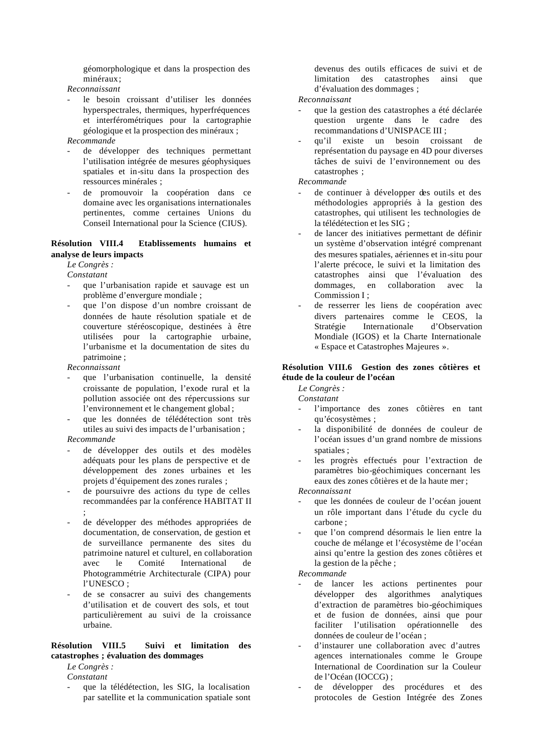géomorphologique et dans la prospection des minéraux;

*Reconnaissant*

- le besoin croissant d'utiliser les données hyperspectrales, thermiques, hyperfréquences et interférométriques pour la cartographie géologique et la prospection des minéraux ;
- *Recommande*
- de développer des techniques permettant l'utilisation intégrée de mesures géophysiques spatiales et in-situ dans la prospection des ressources minérales ;
- de promouvoir la coopération dans ce domaine avec les organisations internationales pertinentes, comme certaines Unions du Conseil International pour la Science (CIUS).

#### **Résolution VIII.4 Etablissements humains et analyse de leurs impacts**

*Le Congrès :* 

*Constatant*

- que l'urbanisation rapide et sauvage est un problème d'envergure mondiale ;
- que l'on dispose d'un nombre croissant de données de haute résolution spatiale et de couverture stéréoscopique, destinées à être utilisées pour la cartographie urbaine, l'urbanisme et la documentation de sites du patrimoine ;

*Reconnaissant*

- que l'urbanisation continuelle, la densité croissante de population, l'exode rural et la pollution associée ont des répercussions sur l'environnement et le changement global ;
- que les données de télédétection sont très utiles au suivi des impacts de l'urbanisation ;

#### *Recommande*

- de développer des outils et des modèles adéquats pour les plans de perspective et de développement des zones urbaines et les projets d'équipement des zones rurales ;
- de poursuivre des actions du type de celles recommandées par la conférence HABITAT II ;
- de développer des méthodes appropriées de documentation, de conservation, de gestion et de surveillance permanente des sites du patrimoine naturel et culturel, en collaboration avec le Comité International de Photogrammétrie Architecturale (CIPA) pour l'UNESCO ;
- de se consacrer au suivi des changements d'utilisation et de couvert des sols, et tout particulièrement au suivi de la croissance urbaine.

#### **Résolution VIII.5 Suivi et limitation des catastrophes ; évaluation des dommages**

*Le Congrès : Constatant*

que la télédétection, les SIG, la localisation par satellite et la communication spatiale sont

devenus des outils efficaces de suivi et de limitation des catastrophes ainsi que d'évaluation des dommages ;

#### *Reconnaissant*

- que la gestion des catastrophes a été déclarée question urgente dans le cadre des recommandations d'UNISPACE III ;
- qu'il existe un besoin croissant de représentation du paysage en 4D pour diverses tâches de suivi de l'environnement ou des catastrophes ;

#### *Recommande*

- de continuer à développer des outils et des méthodologies appropriés à la gestion des catastrophes, qui utilisent les technologies de la télédétection et les SIG ;
- de lancer des initiatives permettant de définir un système d'observation intégré comprenant des mesures spatiales, aériennes et in-situ pour l'alerte précoce, le suivi et la limitation des catastrophes ainsi que l'évaluation des dommages, en collaboration avec la Commission I ;
- de resserrer les liens de coopération avec divers partenaires comme le CEOS, la Stratégie Internationale d'Observation Mondiale (IGOS) et la Charte Internationale « Espace et Catastrophes Majeures ».

#### **Résolution VIII.6 Gestion des zones côtières et étude de la couleur de l'océan**

*Le Congrès :* 

*Constatant*

- l'importance des zones côtières en tant qu'écosystèmes ;
- la disponibilité de données de couleur de l'océan issues d'un grand nombre de missions spatiales ;
- les progrès effectués pour l'extraction de paramètres bio-géochimiques concernant les eaux des zones côtières et de la haute mer ;

*Reconnaissant*

- que les données de couleur de l'océan jouent un rôle important dans l'étude du cycle du carbone ;
- que l'on comprend désormais le lien entre la couche de mélange et l'écosystème de l'océan ainsi qu'entre la gestion des zones côtières et la gestion de la pêche ;

- de lancer les actions pertinentes pour développer des algorithmes analytiques d'extraction de paramètres bio-géochimiques et de fusion de données, ainsi que pour faciliter l'utilisation opérationnelle des données de couleur de l'océan ;
- d'instaurer une collaboration avec d'autres agences internationales comme le Groupe International de Coordination sur la Couleur de l'Océan (IOCCG) ;
- de développer des procédures et des protocoles de Gestion Intégrée des Zones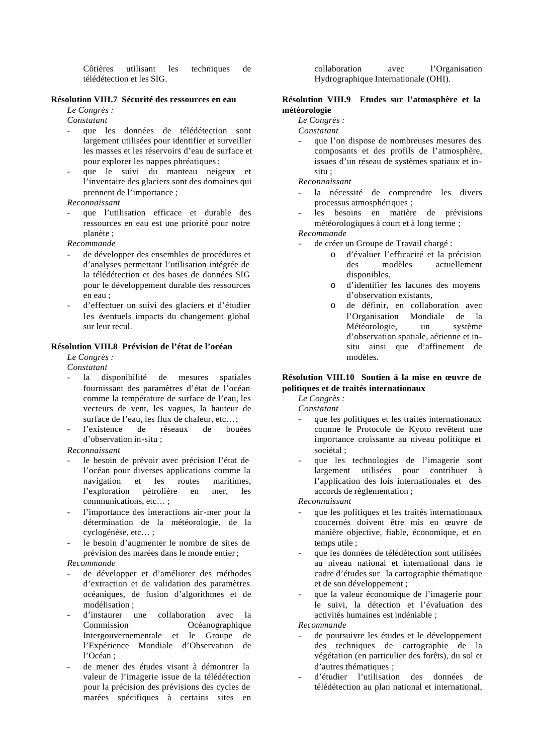Côtières utilisant les techniques de télédétection et les SIG.

#### **Résolution VIII.7 Sécurité des ressources en eau**

*Le Congrès :* 

*Constatant*

- que les données de télédétection sont largement utilisées pour identifier et surveiller les masses et les réservoirs d'eau de surface et pour explorer les nappes phréatiques ;
- que le suivi du manteau neigeux et l'inventaire des glaciers sont des domaines qui prennent de l'importance ;

#### *Reconnaissant*

- que l'utilisation efficace et durable des ressources en eau est une priorité pour notre planète ;

*Recommande*

- de développer des ensembles de procédures et d'analyses permettant l'utilisation intégrée de la télédétection et des bases de données SIG pour le développement durable des ressources en eau ;
- d'effectuer un suivi des glaciers et d'étudier les éventuels impacts du changement global sur leur recul.

#### **Résolution VIII.8 Prévision de l'état de l'océan**

#### *Le Congrès :*

*Constatant*

- la disponibilité de mesures spatiales fournissant des paramètres d'état de l'océan comme la température de surface de l'eau, les vecteurs de vent, les vagues, la hauteur de surface de l'eau, les flux de chaleur, etc…;
- l'existence de réseaux de bouées d'observation in-situ ;

#### *Reconnaissant*

- le besoin de prévoir avec précision l'état de l'océan pour diverses applications comme la navigation et les routes maritimes, l'exploration pétrolière en mer, les communications, etc… ;
- l'importance des interactions air-mer pour la détermination de la météorologie, de la cyclogénèse, etc… ;
- le besoin d'augmenter le nombre de sites de prévision des marées dans le monde entier ;

#### *Recommande*

- de développer et d'améliorer des méthodes d'extraction et de validation des paramètres océaniques, de fusion d'algorithmes et de modélisation ;
- d'instaurer une collaboration avec la Commission Océanographique Intergouvernementale et le Groupe de l'Expérience Mondiale d'Observation de l'Océan ;
- de mener des études visant à démontrer la valeur de l'imagerie issue de la télédétection pour la précision des prévisions des cycles de marées spécifiques à certains sites en

collaboration avec l'Organisation Hydrographique Internationale (OHI).

#### **Résolution VIII.9 Etudes sur l'atmosphère et la météorologie**

#### *Le Congrès :*

*Constatant*

- que l'on dispose de nombreuses mesures des composants et des profils de l'atmosphère, issues d'un réseau de systèmes spatiaux et insitu ;

*Reconnaissant*

- la nécessité de comprendre les divers processus atmosphériques ;
- les besoins en matière de prévisions météorologiques à court et à long terme ;

*Recommande*

- de créer un Groupe de Travail chargé :
	- o d'évaluer l'efficacité et la précision des modèles actuellement disponibles,
	- o d'identifier les lacunes des moyens d'observation existants,
	- o de définir, en collaboration avec l'Organisation Mondiale de la Météorologie, un système d'observation spatiale, aérienne et insitu ainsi que d'affinement de modèles.

#### **Résolution VIII.10 Soutien à la mise en œuvre de politiques et de traités internationaux**

*Le Congrès :* 

*Constatant*

- que les politiques et les traités internationaux comme le Protocole de Kyoto revêtent une importance croissante au niveau politique et sociétal ;
- que les technologies de l'imagerie sont largement utilisées pour contribuer à l'application des lois internationales et des accords de réglementation ;

*Reconnaissant*

- que les politiques et les traités internationaux concernés doivent être mis en œuvre de manière objective, fiable, économique, et en temps utile ;
- que les données de télédétection sont utilisées au niveau national et international dans le cadre d'études sur la cartographie thématique et de son développement ;
- que la valeur économique de l'imagerie pour le suivi, la détection et l'évaluation des activités humaines est indéniable ;

- de poursuivre les études et le développement des techniques de cartographie de la végétation (en particulier des forêts), du sol et d'autres thématiques ;
- d'étudier l'utilisation des données de télédétection au plan national et international,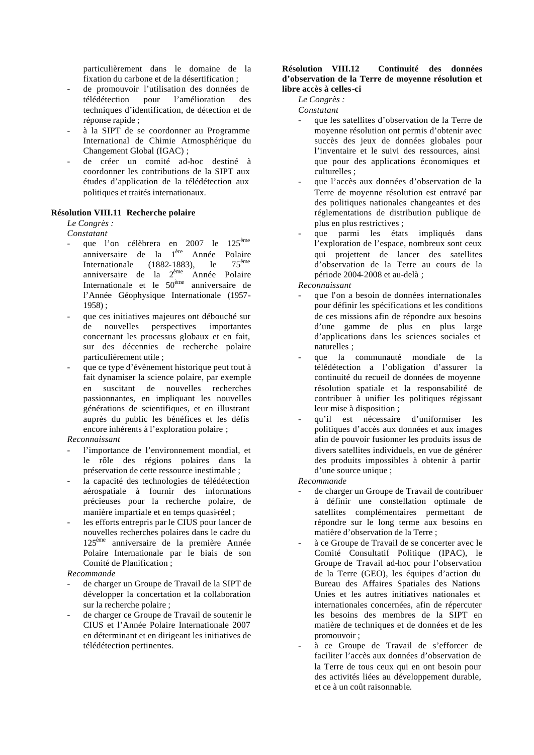particulièrement dans le domaine de la fixation du carbone et de la désertification ;

- de promouvoir l'utilisation des données de télédétection pour l'amélioration des techniques d'identification, de détection et de réponse rapide ;
- à la SIPT de se coordonner au Programme International de Chimie Atmosphérique du Changement Global (IGAC) ;
- de créer un comité ad-hoc destiné à coordonner les contributions de la SIPT aux études d'application de la télédétection aux politiques et traités internationaux.

#### **Résolution VIII.11 Recherche polaire**

*Le Congrès :* 

- *Constatant*
- que l'on célèbrera en 2007 le 125<sup>ème</sup> anniversaire de la l<sup>ère</sup> Année Polaire Internationale (1882-1883), le  $75^{\text{eme}}$ anniversaire de la 2<sup>ème</sup> Année Polaire Internationale et le 50<sup>ème</sup> anniversaire de l'Année Géophysique Internationale (1957- 1958) ;
- que ces initiatives majeures ont débouché sur de nouvelles perspectives importantes concernant les processus globaux et en fait, sur des décennies de recherche polaire particulièrement utile ;
- que ce type d'évènement historique peut tout à fait dynamiser la science polaire, par exemple en suscitant de nouvelles recherches passionnantes, en impliquant les nouvelles générations de scientifiques, et en illustrant auprès du public les bénéfices et les défis encore inhérents à l'exploration polaire ;

#### *Reconnaissant*

- l'importance de l'environnement mondial, et le rôle des régions polaires dans la préservation de cette ressource inestimable ;
- la capacité des technologies de télédétection aérospatiale à fournir des informations précieuses pour la recherche polaire, de manière impartiale et en temps quasi-réel ;
- les efforts entrepris par le CIUS pour lancer de nouvelles recherches polaires dans le cadre du 125ème anniversaire de la première Année Polaire Internationale par le biais de son Comité de Planification ;

#### *Recommande*

- de charger un Groupe de Travail de la SIPT de développer la concertation et la collaboration sur la recherche polaire ;
- de charger ce Groupe de Travail de soutenir le CIUS et l'Année Polaire Internationale 2007 en déterminant et en dirigeant les initiatives de télédétection pertinentes.

#### **Résolution VIII.12 Continuité des données d'observation de la Terre de moyenne résolution et libre accès à celles-ci**

*Le Congrès :* 

*Constatant*

- que les satellites d'observation de la Terre de moyenne résolution ont permis d'obtenir avec succès des jeux de données globales pour l'inventaire et le suivi des ressources, ainsi que pour des applications économiques et culturelles ;
- que l'accès aux données d'observation de la Terre de moyenne résolution est entravé par des politiques nationales changeantes et des réglementations de distribution publique de plus en plus restrictives ;
- que parmi les états impliqués dans l'exploration de l'espace, nombreux sont ceux qui projettent de lancer des satellites d'observation de la Terre au cours de la période 2004-2008 et au-delà ;

*Reconnaissant*

- que l'on a besoin de données internationales pour définir les spécifications et les conditions de ces missions afin de répondre aux besoins d'une gamme de plus en plus large d'applications dans les sciences sociales et naturelles ;
- que la communauté mondiale de la télédétection a l'obligation d'assurer la continuité du recueil de données de moyenne résolution spatiale et la responsabilité de contribuer à unifier les politiques régissant leur mise à disposition ;
- qu'il est nécessaire d'uniformiser les politiques d'accès aux données et aux images afin de pouvoir fusionner les produits issus de divers satellites individuels, en vue de générer des produits impossibles à obtenir à partir d'une source unique ;

- de charger un Groupe de Travail de contribuer à définir une constellation optimale de satellites complémentaires permettant de répondre sur le long terme aux besoins en matière d'observation de la Terre ;
- à ce Groupe de Travail de se concerter avec le Comité Consultatif Politique (IPAC), le Groupe de Travail ad-hoc pour l'observation de la Terre (GEO), les équipes d'action du Bureau des Affaires Spatiales des Nations Unies et les autres initiatives nationales et internationales concernées, afin de répercuter les besoins des membres de la SIPT en matière de techniques et de données et de les promouvoir ;
- à ce Groupe de Travail de s'efforcer de faciliter l'accès aux données d'observation de la Terre de tous ceux qui en ont besoin pour des activités liées au développement durable, et ce à un coût raisonnable.